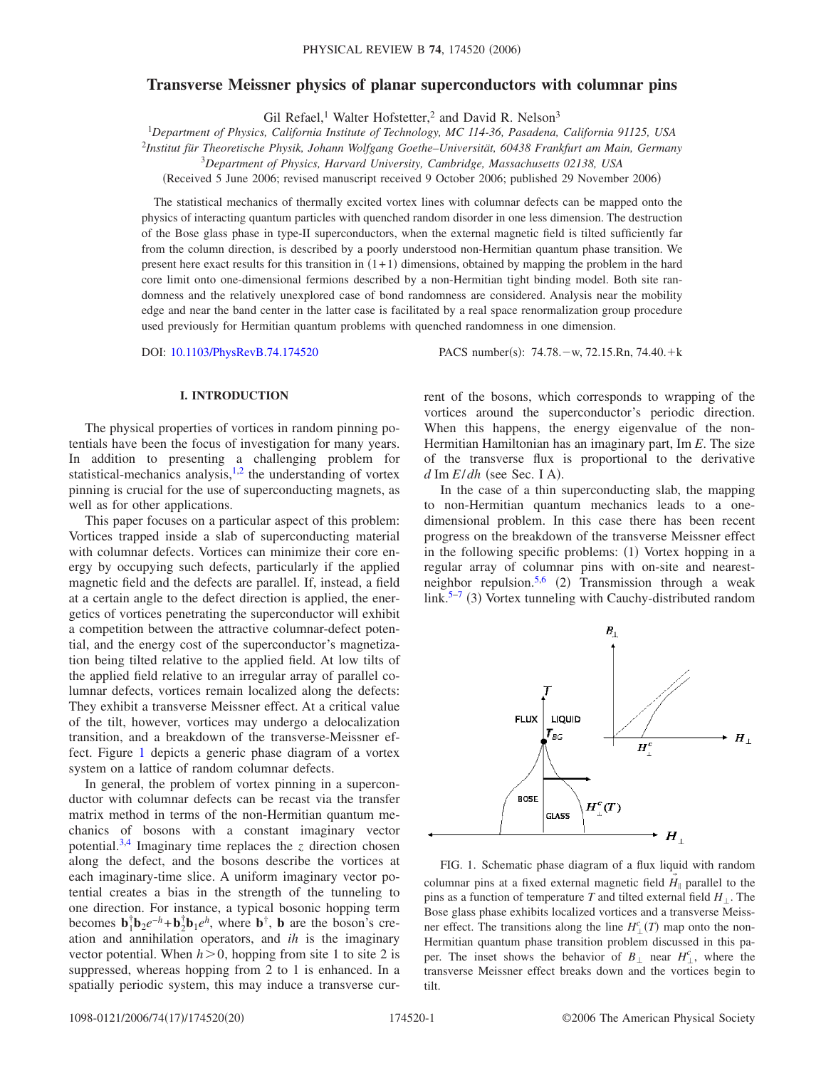# **Transverse Meissner physics of planar superconductors with columnar pins**

Gil Refael,<sup>1</sup> Walter Hofstetter,<sup>2</sup> and David R. Nelson<sup>3</sup>

1 *Department of Physics, California Institute of Technology, MC 114-36, Pasadena, California 91125, USA*

<sup>2</sup>*Institut für Theoretische Physik, Johann Wolfgang Goethe–Universität, 60438 Frankfurt am Main, Germany*

3 *Department of Physics, Harvard University, Cambridge, Massachusetts 02138, USA*

(Received 5 June 2006; revised manuscript received 9 October 2006; published 29 November 2006)

The statistical mechanics of thermally excited vortex lines with columnar defects can be mapped onto the physics of interacting quantum particles with quenched random disorder in one less dimension. The destruction of the Bose glass phase in type-II superconductors, when the external magnetic field is tilted sufficiently far from the column direction, is described by a poorly understood non-Hermitian quantum phase transition. We present here exact results for this transition in  $(1+1)$  dimensions, obtained by mapping the problem in the hard core limit onto one-dimensional fermions described by a non-Hermitian tight binding model. Both site randomness and the relatively unexplored case of bond randomness are considered. Analysis near the mobility edge and near the band center in the latter case is facilitated by a real space renormalization group procedure used previously for Hermitian quantum problems with quenched randomness in one dimension.

DOI: [10.1103/PhysRevB.74.174520](http://dx.doi.org/10.1103/PhysRevB.74.174520)

:  $74.78 - w$ ,  $72.15.Rn$ ,  $74.40.+k$ 

# **I. INTRODUCTION**

The physical properties of vortices in random pinning potentials have been the focus of investigation for many years. In addition to presenting a challenging problem for statistical-mechanics analysis, $\frac{1}{2}$  $\frac{1}{2}$  $\frac{1}{2}$  the understanding of vortex pinning is crucial for the use of superconducting magnets, as well as for other applications.

This paper focuses on a particular aspect of this problem: Vortices trapped inside a slab of superconducting material with columnar defects. Vortices can minimize their core energy by occupying such defects, particularly if the applied magnetic field and the defects are parallel. If, instead, a field at a certain angle to the defect direction is applied, the energetics of vortices penetrating the superconductor will exhibit a competition between the attractive columnar-defect potential, and the energy cost of the superconductor's magnetization being tilted relative to the applied field. At low tilts of the applied field relative to an irregular array of parallel columnar defects, vortices remain localized along the defects: They exhibit a transverse Meissner effect. At a critical value of the tilt, however, vortices may undergo a delocalization transition, and a breakdown of the transverse-Meissner effect. Figure [1](#page-0-0) depicts a generic phase diagram of a vortex system on a lattice of random columnar defects.

In general, the problem of vortex pinning in a superconductor with columnar defects can be recast via the transfer matrix method in terms of the non-Hermitian quantum mechanics of bosons with a constant imaginary vector potential.<sup>3,[4](#page-19-3)</sup> Imaginary time replaces the  $z$  direction chosen along the defect, and the bosons describe the vortices at each imaginary-time slice. A uniform imaginary vector potential creates a bias in the strength of the tunneling to one direction. For instance, a typical bosonic hopping term becomes  $\mathbf{b}_1^{\dagger} \mathbf{b}_2 e^{-h} + \mathbf{b}_2^{\dagger} \mathbf{b}_1 e^h$ , where  $\mathbf{b}^{\dagger}$ , **b** are the boson's creation and annihilation operators, and *ih* is the imaginary vector potential. When  $h > 0$ , hopping from site 1 to site 2 is suppressed, whereas hopping from 2 to 1 is enhanced. In a spatially periodic system, this may induce a transverse current of the bosons, which corresponds to wrapping of the vortices around the superconductor's periodic direction. When this happens, the energy eigenvalue of the non-Hermitian Hamiltonian has an imaginary part, Im *E*. The size of the transverse flux is proportional to the derivative  $d \text{Im } E/dh$  (see Sec. I A).

In the case of a thin superconducting slab, the mapping to non-Hermitian quantum mechanics leads to a onedimensional problem. In this case there has been recent progress on the breakdown of the transverse Meissner effect in the following specific problems: (1) Vortex hopping in a regular array of columnar pins with on-site and nearest-neighbor repulsion.<sup>5,[6](#page-19-5)</sup> (2) Transmission through a weak link.<sup>5[–7](#page-19-6)</sup> (3) Vortex tunneling with Cauchy-distributed random

<span id="page-0-0"></span>

FIG. 1. Schematic phase diagram of a flux liquid with random columnar pins at a fixed external magnetic field  $H_{\parallel}$  parallel to the pins as a function of temperature *T* and tilted external field  $H_+$ . The Bose glass phase exhibits localized vortices and a transverse Meissner effect. The transitions along the line  $H_{\perp}^{c}(T)$  map onto the non-Hermitian quantum phase transition problem discussed in this paper. The inset shows the behavior of  $B_{\perp}$  near  $H_{\perp}^{c}$ , where the transverse Meissner effect breaks down and the vortices begin to tilt.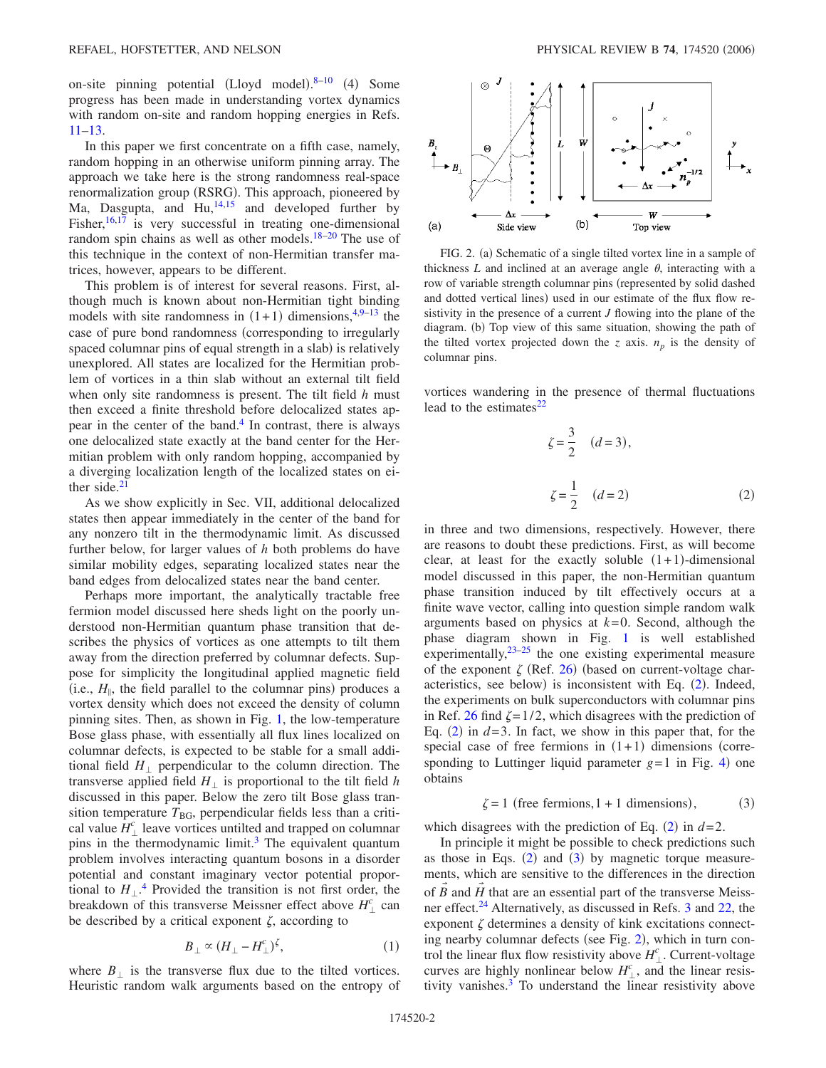on-site pinning potential (Lloyd model).<sup>8-[10](#page-19-8)</sup> (4) Some progress has been made in understanding vortex dynamics with random on-site and random hopping energies in Refs. [11–](#page-19-9)[13.](#page-19-10)

In this paper we first concentrate on a fifth case, namely, random hopping in an otherwise uniform pinning array. The approach we take here is the strong randomness real-space renormalization group (RSRG). This approach, pioneered by Ma, Dasgupta, and  $\text{Hu}^{14,15}$  $\text{Hu}^{14,15}$  $\text{Hu}^{14,15}$  and developed further by Fisher, $16,17$  $16,17$  is very successful in treating one-dimensional random spin chains as well as other models. $18-20$  The use of this technique in the context of non-Hermitian transfer matrices, however, appears to be different.

This problem is of interest for several reasons. First, although much is known about non-Hermitian tight binding models with site randomness in  $(1+1)$  dimensions,<sup>4,[9](#page-19-17)[–13](#page-19-10)</sup> the case of pure bond randomness (corresponding to irregularly spaced columnar pins of equal strength in a slab) is relatively unexplored. All states are localized for the Hermitian problem of vortices in a thin slab without an external tilt field when only site randomness is present. The tilt field *h* must then exceed a finite threshold before delocalized states appear in the center of the band[.4](#page-19-3) In contrast, there is always one delocalized state exactly at the band center for the Hermitian problem with only random hopping, accompanied by a diverging localization length of the localized states on either side. $21$ 

As we show explicitly in Sec. VII, additional delocalized states then appear immediately in the center of the band for any nonzero tilt in the thermodynamic limit. As discussed further below, for larger values of *h* both problems do have similar mobility edges, separating localized states near the band edges from delocalized states near the band center.

Perhaps more important, the analytically tractable free fermion model discussed here sheds light on the poorly understood non-Hermitian quantum phase transition that describes the physics of vortices as one attempts to tilt them away from the direction preferred by columnar defects. Suppose for simplicity the longitudinal applied magnetic field (i.e.,  $H_{\parallel}$ , the field parallel to the columnar pins) produces a vortex density which does not exceed the density of column pinning sites. Then, as shown in Fig. [1,](#page-0-0) the low-temperature Bose glass phase, with essentially all flux lines localized on columnar defects, is expected to be stable for a small additional field  $H_{\perp}$  perpendicular to the column direction. The transverse applied field  $H_{\perp}$  is proportional to the tilt field *h* discussed in this paper. Below the zero tilt Bose glass transition temperature  $T<sub>BG</sub>$ , perpendicular fields less than a critical value  $H_{\perp}^{c}$  leave vortices untilted and trapped on columnar pins in the thermodynamic limit.<sup>3</sup> The equivalent quantum problem involves interacting quantum bosons in a disorder potential and constant imaginary vector potential proportional to  $H_{\perp}$ <sup>[4](#page-19-3)</sup>. Provided the transition is not first order, the breakdown of this transverse Meissner effect above  $H_{\perp}^{c}$  can be described by a critical exponent  $\zeta$ , according to

$$
B_{\perp} \propto (H_{\perp} - H_{\perp}^c)^{\zeta},\tag{1}
$$

<span id="page-1-3"></span>where  $B_{\perp}$  is the transverse flux due to the tilted vortices. Heuristic random walk arguments based on the entropy of

<span id="page-1-2"></span>

FIG. 2. (a) Schematic of a single tilted vortex line in a sample of thickness  $L$  and inclined at an average angle  $\theta$ , interacting with a row of variable strength columnar pins (represented by solid dashed and dotted vertical lines) used in our estimate of the flux flow resistivity in the presence of a current *J* flowing into the plane of the diagram. (b) Top view of this same situation, showing the path of the tilted vortex projected down the *z* axis.  $n_p$  is the density of columnar pins.

<span id="page-1-0"></span>vortices wandering in the presence of thermal fluctuations lead to the estimates $^{22}$ 

$$
\zeta = \frac{3}{2} \quad (d = 3),
$$
  

$$
\zeta = \frac{1}{2} \quad (d = 2)
$$
 (2)

in three and two dimensions, respectively. However, there are reasons to doubt these predictions. First, as will become clear, at least for the exactly soluble  $(1+1)$ -dimensional model discussed in this paper, the non-Hermitian quantum phase transition induced by tilt effectively occurs at a finite wave vector, calling into question simple random walk arguments based on physics at  $k=0$ . Second, although the phase diagram shown in Fig. [1](#page-0-0) is well established experimentally, $23-25$  $23-25$  the one existing experimental measure of the exponent  $\zeta$  (Ref. [26](#page-19-22)) (based on current-voltage char-acteristics, see below) is inconsistent with Eq. ([2](#page-1-0)). Indeed, the experiments on bulk superconductors with columnar pins in Ref. [26](#page-19-22) find  $\zeta = 1/2$ , which disagrees with the prediction of Eq.  $(2)$  $(2)$  $(2)$  in  $d=3$ . In fact, we show in this paper that, for the special case of free fermions in  $(1+1)$  dimensions (corresponding to Luttinger liquid parameter  $g=1$  in Fig. [4](#page-3-0)) one obtains

$$
\zeta = 1 \text{ (free fermions, } 1 + 1 \text{ dimensions),} \tag{3}
$$

<span id="page-1-1"></span>which disagrees with the prediction of Eq.  $(2)$  $(2)$  $(2)$  in  $d=2$ .

In principle it might be possible to check predictions such as those in Eqs.  $(2)$  $(2)$  $(2)$  and  $(3)$  $(3)$  $(3)$  by magnetic torque measurements, which are sensitive to the differences in the direction of  $\vec{B}$  and  $\vec{H}$  that are an essential part of the transverse Meiss-ner effect.<sup>24</sup> Alternatively, as discussed in Refs. [3](#page-19-2) and [22,](#page-19-19) the exponent  $\zeta$  determines a density of kink excitations connect-ing nearby columnar defects (see Fig. [2](#page-1-2)), which in turn control the linear flux flow resistivity above  $H_{\perp}^c$ . Current-voltage curves are highly nonlinear below  $H_{\perp}^{c}$ , and the linear resistivity vanishes. $3$  To understand the linear resistivity above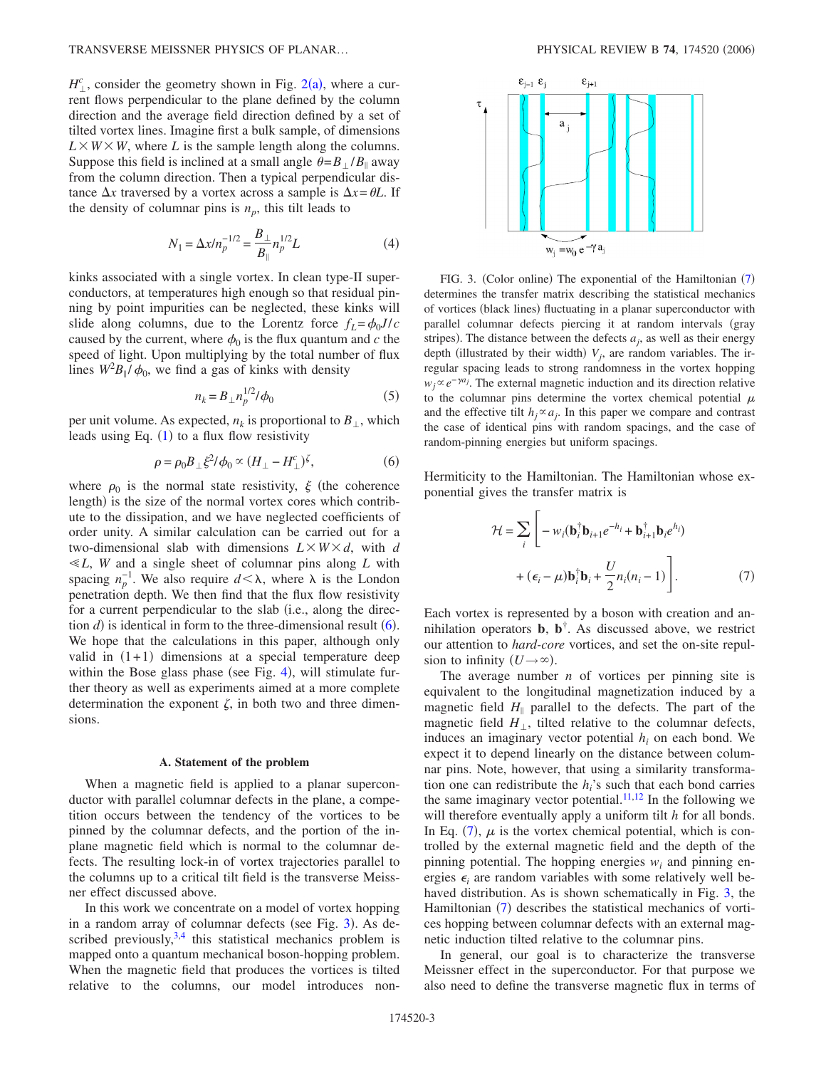$H_{\perp}^{c}$ , consider the geometry shown in Fig. [2](#page-1-2)(a), where a current flows perpendicular to the plane defined by the column direction and the average field direction defined by a set of tilted vortex lines. Imagine first a bulk sample, of dimensions  $L \times W \times W$ , where *L* is the sample length along the columns. Suppose this field is inclined at a small angle  $\theta = B_1 / B_{\parallel}$  away from the column direction. Then a typical perpendicular distance  $\Delta x$  traversed by a vortex across a sample is  $\Delta x = \theta L$ . If the density of columnar pins is  $n_p$ , this tilt leads to

$$
N_1 = \Delta x / n_p^{-1/2} = \frac{B_\perp}{B_\parallel} n_p^{1/2} L \tag{4}
$$

kinks associated with a single vortex. In clean type-II superconductors, at temperatures high enough so that residual pinning by point impurities can be neglected, these kinks will slide along columns, due to the Lorentz force  $f_L = \phi_0 J/c$ caused by the current, where  $\phi_0$  is the flux quantum and *c* the speed of light. Upon multiplying by the total number of flux lines  $W^2B_{\parallel}/\phi_0$ , we find a gas of kinks with density

$$
n_k = B_\perp n_p^{1/2} / \phi_0 \tag{5}
$$

per unit volume. As expected,  $n_k$  is proportional to  $B_{\perp}$ , which leads using Eq.  $(1)$  $(1)$  $(1)$  to a flux flow resistivity

$$
\rho = \rho_0 B_\perp \xi^2 / \phi_0 \propto (H_\perp - H_\perp^c)^{\zeta},\tag{6}
$$

<span id="page-2-0"></span>where  $\rho_0$  is the normal state resistivity,  $\xi$  (the coherence length) is the size of the normal vortex cores which contribute to the dissipation, and we have neglected coefficients of order unity. A similar calculation can be carried out for a two-dimensional slab with dimensions  $L \times W \times d$ , with *d L*, *W* and a single sheet of columnar pins along *L* with spacing  $n_p^{-1}$ . We also require  $d < \lambda$ , where  $\lambda$  is the London penetration depth. We then find that the flux flow resistivity for a current perpendicular to the slab (i.e., along the direction  $d$ ) is identical in form to the three-dimensional result  $(6)$  $(6)$  $(6)$ . We hope that the calculations in this paper, although only valid in  $(1+1)$  dimensions at a special temperature deep within the Bose glass phase (see Fig. [4](#page-3-0)), will stimulate further theory as well as experiments aimed at a more complete determination the exponent  $\zeta$ , in both two and three dimensions.

### **A. Statement of the problem**

When a magnetic field is applied to a planar superconductor with parallel columnar defects in the plane, a competition occurs between the tendency of the vortices to be pinned by the columnar defects, and the portion of the inplane magnetic field which is normal to the columnar defects. The resulting lock-in of vortex trajectories parallel to the columns up to a critical tilt field is the transverse Meissner effect discussed above.

In this work we concentrate on a model of vortex hopping in a random array of columnar defects (see Fig. [3](#page-2-1)). As described previously,  $3,4$  $3,4$  this statistical mechanics problem is mapped onto a quantum mechanical boson-hopping problem. When the magnetic field that produces the vortices is tilted relative to the columns, our model introduces non-

<span id="page-2-1"></span>

FIG. 3. (Color online) The exponential of the Hamiltonian ([7](#page-2-2)) determines the transfer matrix describing the statistical mechanics of vortices (black lines) fluctuating in a planar superconductor with parallel columnar defects piercing it at random intervals (gray stripes). The distance between the defects  $a_j$ , as well as their energy depth (illustrated by their width)  $V_j$ , are random variables. The irregular spacing leads to strong randomness in the vortex hopping  $w_j \propto e^{-\gamma a_j}$ . The external magnetic induction and its direction relative to the columnar pins determine the vortex chemical potential  $\mu$ and the effective tilt  $h_i \propto a_i$ . In this paper we compare and contrast the case of identical pins with random spacings, and the case of random-pinning energies but uniform spacings.

<span id="page-2-2"></span>Hermiticity to the Hamiltonian. The Hamiltonian whose exponential gives the transfer matrix is

$$
\mathcal{H} = \sum_{i} \left[ -w_i (\mathbf{b}_i^{\dagger} \mathbf{b}_{i+1} e^{-h_i} + \mathbf{b}_{i+1}^{\dagger} \mathbf{b}_i e^{h_i}) + (\epsilon_i - \mu) \mathbf{b}_i^{\dagger} \mathbf{b}_i + \frac{U}{2} n_i (n_i - 1) \right].
$$
 (7)

Each vortex is represented by a boson with creation and annihilation operators  $\mathbf{b}$ ,  $\mathbf{b}^{\dagger}$ . As discussed above, we restrict our attention to *hard-core* vortices, and set the on-site repulsion to infinity  $(U \rightarrow \infty)$ .

The average number *n* of vortices per pinning site is equivalent to the longitudinal magnetization induced by a magnetic field  $H_{\parallel}$  parallel to the defects. The part of the magnetic field  $H_{\perp}$ , tilted relative to the columnar defects, induces an imaginary vector potential  $h_i$  on each bond. We expect it to depend linearly on the distance between columnar pins. Note, however, that using a similarity transformation one can redistribute the  $h_i$ 's such that each bond carries the same imaginary vector potential.<sup>11[,12](#page-19-24)</sup> In the following we will therefore eventually apply a uniform tilt *h* for all bonds. In Eq. ([7](#page-2-2)),  $\mu$  is the vortex chemical potential, which is controlled by the external magnetic field and the depth of the pinning potential. The hopping energies  $w_i$  and pinning energies  $\epsilon_i$  are random variables with some relatively well be-haved distribution. As is shown schematically in Fig. [3,](#page-2-1) the Hamiltonian ([7](#page-2-2)) describes the statistical mechanics of vortices hopping between columnar defects with an external magnetic induction tilted relative to the columnar pins.

In general, our goal is to characterize the transverse Meissner effect in the superconductor. For that purpose we also need to define the transverse magnetic flux in terms of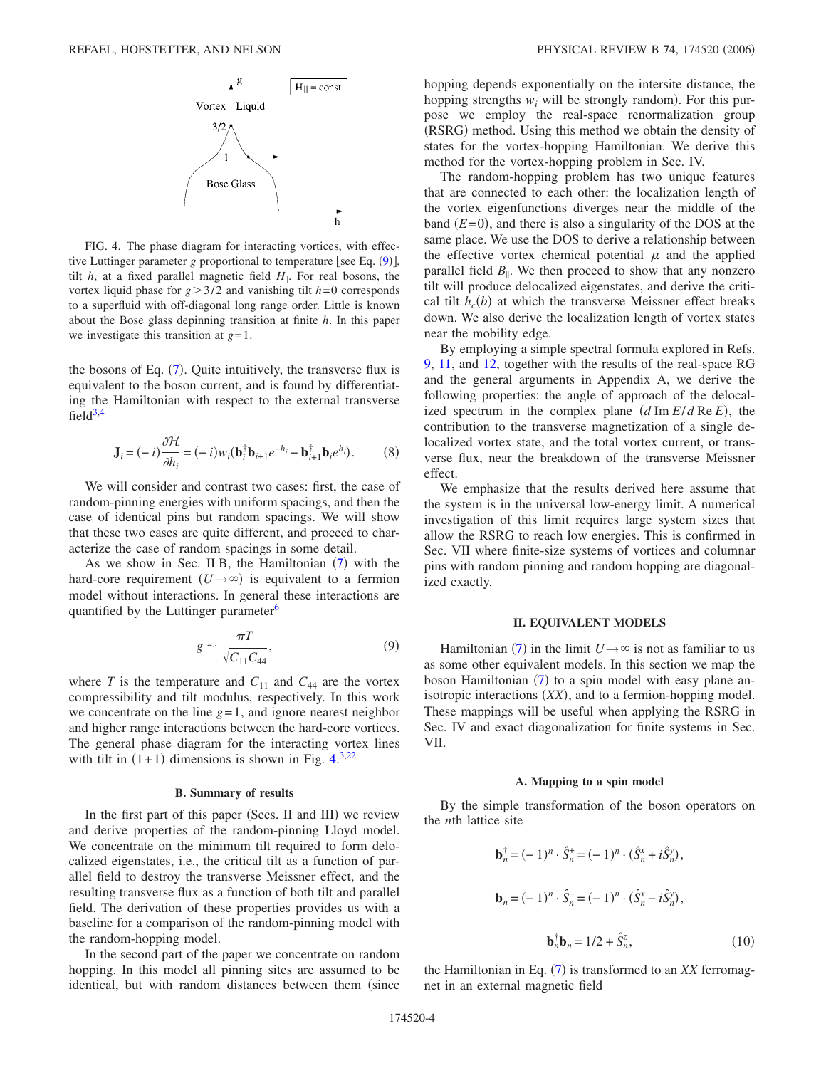<span id="page-3-0"></span>

FIG. 4. The phase diagram for interacting vortices, with effective Luttinger parameter *g* proportional to temperature [see Eq. ([9](#page-3-1))], tilt  $h$ , at a fixed parallel magnetic field  $H_{\parallel}$ . For real bosons, the vortex liquid phase for  $g > 3/2$  and vanishing tilt  $h=0$  corresponds to a superfluid with off-diagonal long range order. Little is known about the Bose glass depinning transition at finite *h*. In this paper we investigate this transition at *g*=1.

the bosons of Eq.  $(7)$  $(7)$  $(7)$ . Quite intuitively, the transverse flux is equivalent to the boson current, and is found by differentiating the Hamiltonian with respect to the external transverse field $3,4$  $3,4$ 

$$
\mathbf{J}_i = (-i)\frac{\partial \mathcal{H}}{\partial h_i} = (-i)w_i(\mathbf{b}_i^{\dagger}\mathbf{b}_{i+1}e^{-h_i} - \mathbf{b}_{i+1}^{\dagger}\mathbf{b}_i e^{h_i}).
$$
 (8)

<span id="page-3-2"></span>We will consider and contrast two cases: first, the case of random-pinning energies with uniform spacings, and then the case of identical pins but random spacings. We will show that these two cases are quite different, and proceed to characterize the case of random spacings in some detail.

As we show in Sec. II B, the Hamiltonian  $(7)$  $(7)$  $(7)$  with the hard-core requirement  $(U \rightarrow \infty)$  is equivalent to a fermion model without interactions. In general these interactions are quantified by the Luttinger parameter<sup>6</sup>

$$
g \sim \frac{\pi T}{\sqrt{C_{11} C_{44}}},\tag{9}
$$

<span id="page-3-1"></span>where *T* is the temperature and  $C_{11}$  and  $C_{44}$  are the vortex compressibility and tilt modulus, respectively. In this work we concentrate on the line  $g=1$ , and ignore nearest neighbor and higher range interactions between the hard-core vortices. The general phase diagram for the interacting vortex lines with tilt in  $(1+1)$  dimensions is shown in Fig. [4.](#page-3-0)<sup>[3](#page-19-2)[,22](#page-19-19)</sup>

# **B. Summary of results**

In the first part of this paper (Secs. II and III) we review and derive properties of the random-pinning Lloyd model. We concentrate on the minimum tilt required to form delocalized eigenstates, i.e., the critical tilt as a function of parallel field to destroy the transverse Meissner effect, and the resulting transverse flux as a function of both tilt and parallel field. The derivation of these properties provides us with a baseline for a comparison of the random-pinning model with the random-hopping model.

In the second part of the paper we concentrate on random hopping. In this model all pinning sites are assumed to be identical, but with random distances between them (since hopping depends exponentially on the intersite distance, the hopping strengths  $w_i$  will be strongly random). For this purpose we employ the real-space renormalization group (RSRG) method. Using this method we obtain the density of states for the vortex-hopping Hamiltonian. We derive this method for the vortex-hopping problem in Sec. IV.

The random-hopping problem has two unique features that are connected to each other: the localization length of the vortex eigenfunctions diverges near the middle of the band  $(E=0)$ , and there is also a singularity of the DOS at the same place. We use the DOS to derive a relationship between the effective vortex chemical potential  $\mu$  and the applied parallel field  $B_{\parallel}$ . We then proceed to show that any nonzero tilt will produce delocalized eigenstates, and derive the critical tilt  $h_c(b)$  at which the transverse Meissner effect breaks down. We also derive the localization length of vortex states near the mobility edge.

By employing a simple spectral formula explored in Refs. [9,](#page-19-17) [11,](#page-19-9) and [12,](#page-19-24) together with the results of the real-space RG and the general arguments in Appendix A, we derive the following properties: the angle of approach of the delocalized spectrum in the complex plane  $(d \text{Im } E/d \text{Re } E)$ , the contribution to the transverse magnetization of a single delocalized vortex state, and the total vortex current, or transverse flux, near the breakdown of the transverse Meissner effect.

We emphasize that the results derived here assume that the system is in the universal low-energy limit. A numerical investigation of this limit requires large system sizes that allow the RSRG to reach low energies. This is confirmed in Sec. VII where finite-size systems of vortices and columnar pins with random pinning and random hopping are diagonalized exactly.

# **II. EQUIVALENT MODELS**

Hamiltonian ([7](#page-2-2)) in the limit  $U \rightarrow \infty$  is not as familiar to us as some other equivalent models. In this section we map the boson Hamiltonian ([7](#page-2-2)) to a spin model with easy plane anisotropic interactions  $(XX)$ , and to a fermion-hopping model. These mappings will be useful when applying the RSRG in Sec. IV and exact diagonalization for finite systems in Sec. VII.

#### **A. Mapping to a spin model**

By the simple transformation of the boson operators on the *n*th lattice site

$$
\mathbf{b}_n^{\dagger} = (-1)^n \cdot \hat{S}_n^+ = (-1)^n \cdot (\hat{S}_n^x + i\hat{S}_n^y),
$$
  

$$
\mathbf{b}_n = (-1)^n \cdot \hat{S}_n^- = (-1)^n \cdot (\hat{S}_n^x - i\hat{S}_n^y),
$$
  

$$
\mathbf{b}_n^{\dagger} \mathbf{b}_n = 1/2 + \hat{S}_n^z,
$$
 (10)

the Hamiltonian in Eq. ([7](#page-2-2)) is transformed to an *XX* ferromagnet in an external magnetic field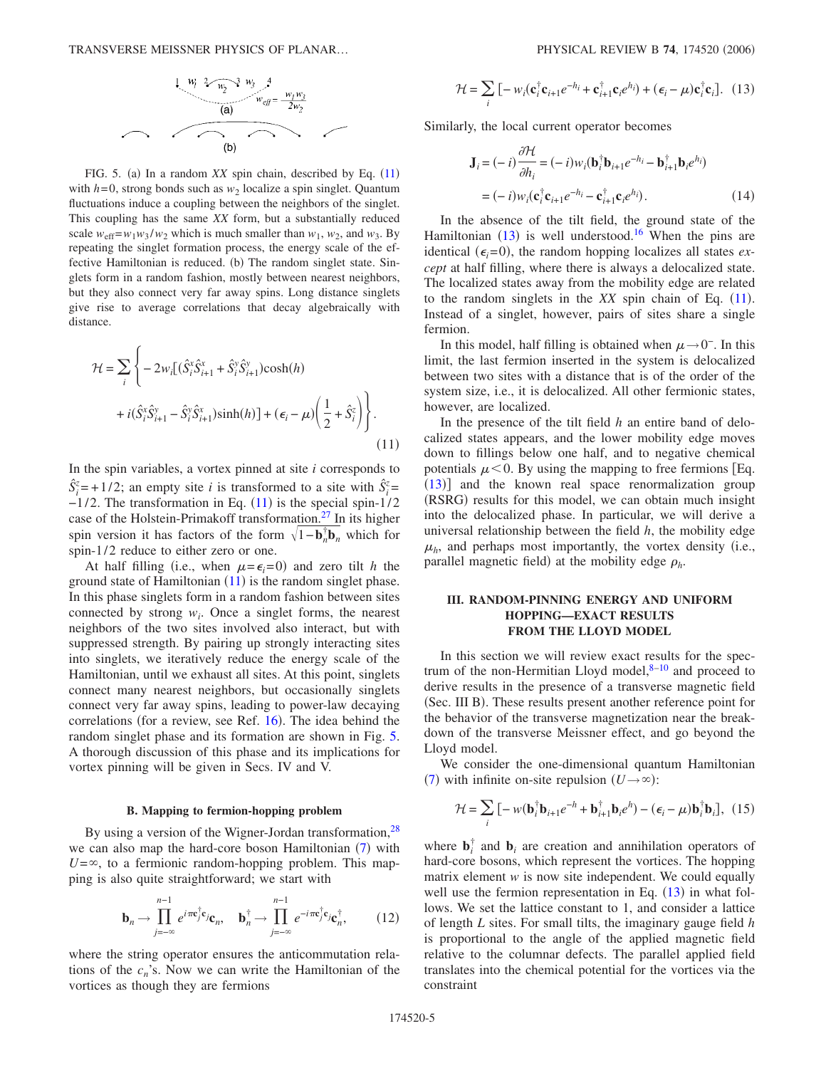<span id="page-4-1"></span>

FIG. 5. (a) In a random *XX* spin chain, described by Eq. ([11](#page-4-0)) with  $h=0$ , strong bonds such as  $w_2$  localize a spin singlet. Quantum fluctuations induce a coupling between the neighbors of the singlet. This coupling has the same *XX* form, but a substantially reduced scale  $w_{\text{eff}} = w_1 w_3 / w_2$  which is much smaller than  $w_1$ ,  $w_2$ , and  $w_3$ . By repeating the singlet formation process, the energy scale of the effective Hamiltonian is reduced. (b) The random singlet state. Singlets form in a random fashion, mostly between nearest neighbors, but they also connect very far away spins. Long distance singlets give rise to average correlations that decay algebraically with distance.

<span id="page-4-0"></span>
$$
\mathcal{H} = \sum_{i} \left\{ -2w_i \left[ (\hat{S}_i^x \hat{S}_{i+1}^x + \hat{S}_i^y \hat{S}_{i+1}^y) \cosh(h) \right. \\ \left. + i(\hat{S}_i^x \hat{S}_{i+1}^y - \hat{S}_i^y \hat{S}_{i+1}^x) \sinh(h) \right] + (\epsilon_i - \mu) \left( \frac{1}{2} + \hat{S}_i^z \right) \right\}.
$$
\n(11)

In the spin variables, a vortex pinned at site *i* corresponds to  $\hat{S}_i^z = +1/2$ ; an empty site *i* is transformed to a site with  $\hat{S}_i^z =$  $-1/2$ . The transformation in Eq.  $(11)$  $(11)$  $(11)$  is the special spin-1/2 case of the Holstein-Primakoff transformation.<sup>27</sup> In its higher spin version it has factors of the form  $\sqrt{1-\mathbf{b}_n^{\dagger}\mathbf{b}_n}$  which for spin-1/2 reduce to either zero or one.

At half filling (i.e., when  $\mu = \epsilon_i = 0$ ) and zero tilt *h* the ground state of Hamiltonian  $(11)$  $(11)$  $(11)$  is the random singlet phase. In this phase singlets form in a random fashion between sites connected by strong  $w_i$ . Once a singlet forms, the nearest neighbors of the two sites involved also interact, but with suppressed strength. By pairing up strongly interacting sites into singlets, we iteratively reduce the energy scale of the Hamiltonian, until we exhaust all sites. At this point, singlets connect many nearest neighbors, but occasionally singlets connect very far away spins, leading to power-law decaying correlations (for a review, see Ref. [16](#page-19-13)). The idea behind the random singlet phase and its formation are shown in Fig. [5.](#page-4-1) A thorough discussion of this phase and its implications for vortex pinning will be given in Secs. IV and V.

#### **B. Mapping to fermion-hopping problem**

By using a version of the Wigner-Jordan transformation, <sup>28</sup> we can also map the hard-core boson Hamiltonian  $(7)$  $(7)$  $(7)$  with  $U=\infty$ , to a fermionic random-hopping problem. This mapping is also quite straightforward; we start with

$$
\mathbf{b}_n \to \prod_{j=-\infty}^{n-1} e^{i\pi \mathbf{c}_j^{\dagger} \mathbf{c}_j} \mathbf{c}_n, \quad \mathbf{b}_n^{\dagger} \to \prod_{j=-\infty}^{n-1} e^{-i\pi \mathbf{c}_j^{\dagger} \mathbf{c}_j} \mathbf{c}_n^{\dagger}, \tag{12}
$$

where the string operator ensures the anticommutation relations of the  $c_n$ 's. Now we can write the Hamiltonian of the vortices as though they are fermions

<span id="page-4-2"></span>
$$
\mathcal{H} = \sum_{i} \left[ -w_i(\mathbf{c}_i^{\dagger} \mathbf{c}_{i+1} e^{-h_i} + \mathbf{c}_{i+1}^{\dagger} \mathbf{c}_i e^{h_i}) + (\epsilon_i - \mu) \mathbf{c}_i^{\dagger} \mathbf{c}_i \right]. \tag{13}
$$

<span id="page-4-4"></span>Similarly, the local current operator becomes

$$
\mathbf{J}_{i} = (-i)\frac{\partial \mathcal{H}}{\partial h_{i}} = (-i)w_{i}(\mathbf{b}_{i}^{\dagger}\mathbf{b}_{i+1}e^{-h_{i}} - \mathbf{b}_{i+1}^{\dagger}\mathbf{b}_{i}e^{h_{i}})
$$

$$
= (-i)w_{i}(\mathbf{c}_{i}^{\dagger}\mathbf{c}_{i+1}e^{-h_{i}} - \mathbf{c}_{i+1}^{\dagger}\mathbf{c}_{i}e^{h_{i}}).
$$
(14)

In the absence of the tilt field, the ground state of the Hamiltonian  $(13)$  $(13)$  $(13)$  is well understood.<sup>16</sup> When the pins are identical  $(\epsilon_i = 0)$ , the random hopping localizes all states *except* at half filling, where there is always a delocalized state. The localized states away from the mobility edge are related to the random singlets in the  $XX$  spin chain of Eq.  $(11)$  $(11)$  $(11)$ . Instead of a singlet, however, pairs of sites share a single fermion.

In this model, half filling is obtained when  $\mu \rightarrow 0^-$ . In this limit, the last fermion inserted in the system is delocalized between two sites with a distance that is of the order of the system size, i.e., it is delocalized. All other fermionic states, however, are localized.

In the presence of the tilt field *h* an entire band of delocalized states appears, and the lower mobility edge moves down to fillings below one half, and to negative chemical potentials  $\mu$  < 0. By using the mapping to free fermions [Eq. ([13](#page-4-2))] and the known real space renormalization group (RSRG) results for this model, we can obtain much insight into the delocalized phase. In particular, we will derive a universal relationship between the field *h*, the mobility edge  $\mu_h$ , and perhaps most importantly, the vortex density (i.e., parallel magnetic field) at the mobility edge  $\rho_h$ .

## **III. RANDOM-PINNING ENERGY AND UNIFORM HOPPING—EXACT RESULTS FROM THE LLOYD MODEL**

In this section we will review exact results for the spectrum of the non-Hermitian Lloyd model, $8-10$  $8-10$  and proceed to derive results in the presence of a transverse magnetic field (Sec. III B). These results present another reference point for the behavior of the transverse magnetization near the breakdown of the transverse Meissner effect, and go beyond the Lloyd model.

<span id="page-4-3"></span>We consider the one-dimensional quantum Hamiltonian ([7](#page-2-2)) with infinite on-site repulsion  $(U \rightarrow \infty)$ :

$$
\mathcal{H} = \sum_{i} \left[ -w(\mathbf{b}_{i}^{\dagger} \mathbf{b}_{i+1} e^{-h} + \mathbf{b}_{i+1}^{\dagger} \mathbf{b}_{i} e^{h}) - (\epsilon_{i} - \mu) \mathbf{b}_{i}^{\dagger} \mathbf{b}_{i} \right], (15)
$$

where  $\mathbf{b}_i^{\dagger}$  and  $\mathbf{b}_i$  are creation and annihilation operators of hard-core bosons, which represent the vortices. The hopping matrix element *w* is now site independent. We could equally well use the fermion representation in Eq.  $(13)$  $(13)$  $(13)$  in what follows. We set the lattice constant to 1, and consider a lattice of length *L* sites. For small tilts, the imaginary gauge field *h* is proportional to the angle of the applied magnetic field relative to the columnar defects. The parallel applied field translates into the chemical potential for the vortices via the constraint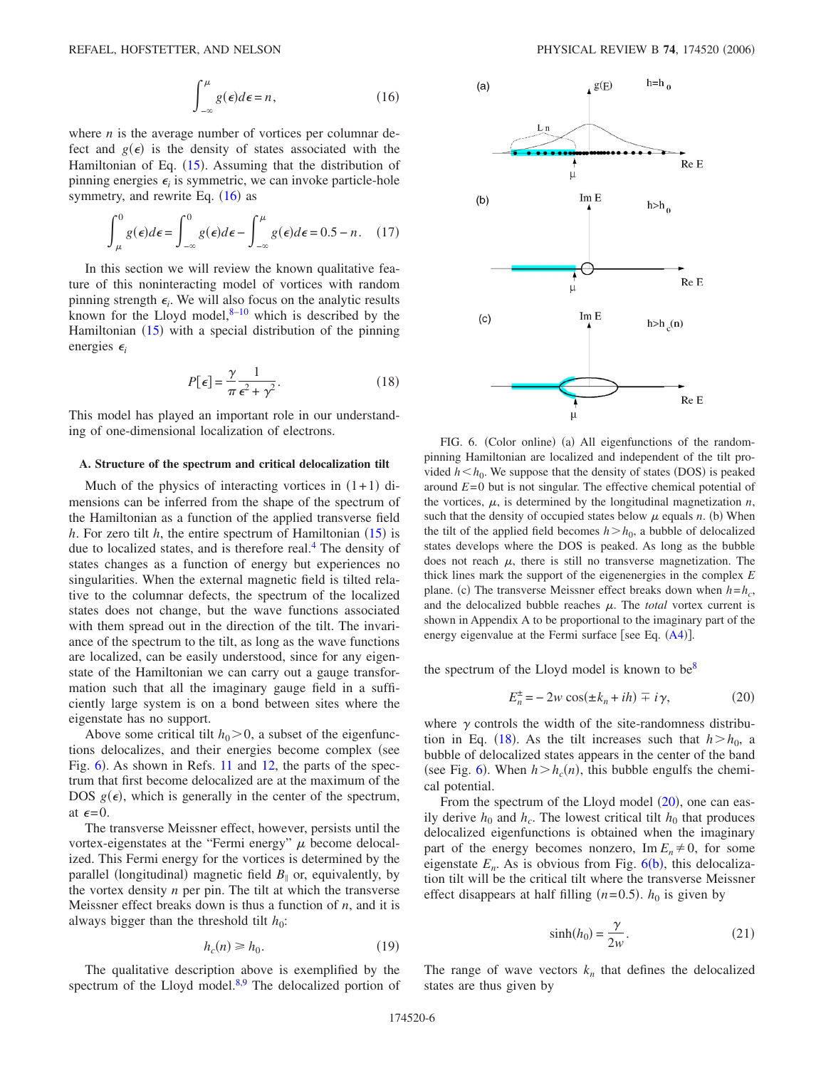$$
\int_{-\infty}^{\mu} g(\epsilon) d\epsilon = n, \qquad (16)
$$

<span id="page-5-0"></span>where *n* is the average number of vortices per columnar defect and  $g(\epsilon)$  is the density of states associated with the Hamiltonian of Eq. ([15](#page-4-3)). Assuming that the distribution of pinning energies  $\epsilon$  is symmetric, we can invoke particle-hole symmetry, and rewrite Eq.  $(16)$  $(16)$  $(16)$  as

$$
\int_{\mu}^{0} g(\epsilon)d\epsilon = \int_{-\infty}^{0} g(\epsilon)d\epsilon - \int_{-\infty}^{\mu} g(\epsilon)d\epsilon = 0.5 - n. \quad (17)
$$

In this section we will review the known qualitative feature of this noninteracting model of vortices with random pinning strength  $\epsilon_i$ . We will also focus on the analytic results known for the Lloyd model, $8-10$  which is described by the Hamiltonian  $(15)$  $(15)$  $(15)$  with a special distribution of the pinning energies  $\epsilon_i$ 

$$
P[\epsilon] = \frac{\gamma}{\pi} \frac{1}{\epsilon^2 + \gamma^2}.
$$
 (18)

<span id="page-5-2"></span>This model has played an important role in our understanding of one-dimensional localization of electrons.

#### **A. Structure of the spectrum and critical delocalization tilt**

Much of the physics of interacting vortices in  $(1+1)$  dimensions can be inferred from the shape of the spectrum of the Hamiltonian as a function of the applied transverse field *h*. For zero tilt *h*, the entire spectrum of Hamiltonian  $(15)$  $(15)$  $(15)$  is due to localized states, and is therefore real.<sup>4</sup> The density of states changes as a function of energy but experiences no singularities. When the external magnetic field is tilted relative to the columnar defects, the spectrum of the localized states does not change, but the wave functions associated with them spread out in the direction of the tilt. The invariance of the spectrum to the tilt, as long as the wave functions are localized, can be easily understood, since for any eigenstate of the Hamiltonian we can carry out a gauge transformation such that all the imaginary gauge field in a sufficiently large system is on a bond between sites where the eigenstate has no support.

Above some critical tilt  $h_0 > 0$ , a subset of the eigenfunctions delocalizes, and their energies become complex (see Fig. [6](#page-5-1)). As shown in Refs. [11](#page-19-9) and [12,](#page-19-24) the parts of the spectrum that first become delocalized are at the maximum of the DOS  $g(\epsilon)$ , which is generally in the center of the spectrum, at  $\epsilon = 0$ .

The transverse Meissner effect, however, persists until the vortex-eigenstates at the "Fermi energy"  $\mu$  become delocalized. This Fermi energy for the vortices is determined by the parallel (longitudinal) magnetic field  $B_{\parallel}$  or, equivalently, by the vortex density *n* per pin. The tilt at which the transverse Meissner effect breaks down is thus a function of *n*, and it is always bigger than the threshold tilt  $h_0$ :

$$
h_c(n) \ge h_0. \tag{19}
$$

The qualitative description above is exemplified by the spectrum of the Lloyd model. $8,9$  $8,9$  The delocalized portion of

<span id="page-5-1"></span>

FIG. 6. (Color online) (a) All eigenfunctions of the randompinning Hamiltonian are localized and independent of the tilt provided  $h < h_0$ . We suppose that the density of states (DOS) is peaked around *E*= 0 but is not singular. The effective chemical potential of the vortices,  $\mu$ , is determined by the longitudinal magnetization *n*, such that the density of occupied states below  $\mu$  equals  $n$ . (b) When the tilt of the applied field becomes  $h > h_0$ , a bubble of delocalized states develops where the DOS is peaked. As long as the bubble does not reach  $\mu$ , there is still no transverse magnetization. The thick lines mark the support of the eigenenergies in the complex *E* plane. (c) The transverse Meissner effect breaks down when  $h=h_c$ , and the delocalized bubble reaches  $\mu$ . The *total* vortex current is shown in Appendix A to be proportional to the imaginary part of the energy eigenvalue at the Fermi surface [see Eq.  $(A4)$  $(A4)$  $(A4)$ ].

<span id="page-5-3"></span>the spectrum of the Lloyd model is known to be $8$ 

$$
E_n^{\pm} = -2w \cos(\pm k_n + ih) \mp i\gamma,
$$
 (20)

where  $\gamma$  controls the width of the site-randomness distribu-tion in Eq. ([18](#page-5-2)). As the tilt increases such that  $h > h_0$ , a bubble of delocalized states appears in the center of the band (see Fig. [6](#page-5-1)). When  $h > h_c(n)$ , this bubble engulfs the chemical potential.

From the spectrum of the Lloyd model  $(20)$  $(20)$  $(20)$ , one can easily derive  $h_0$  and  $h_c$ . The lowest critical tilt  $h_0$  that produces delocalized eigenfunctions is obtained when the imaginary part of the energy becomes nonzero,  $\text{Im } E_n \neq 0$ , for some eigenstate  $E_n$ . As is obvious from Fig.  $6(b)$  $6(b)$ , this delocalization tilt will be the critical tilt where the transverse Meissner effect disappears at half filling  $(n=0.5)$ .  $h_0$  is given by

$$
\sinh(h_0) = \frac{\gamma}{2w}.\tag{21}
$$

The range of wave vectors  $k_n$  that defines the delocalized states are thus given by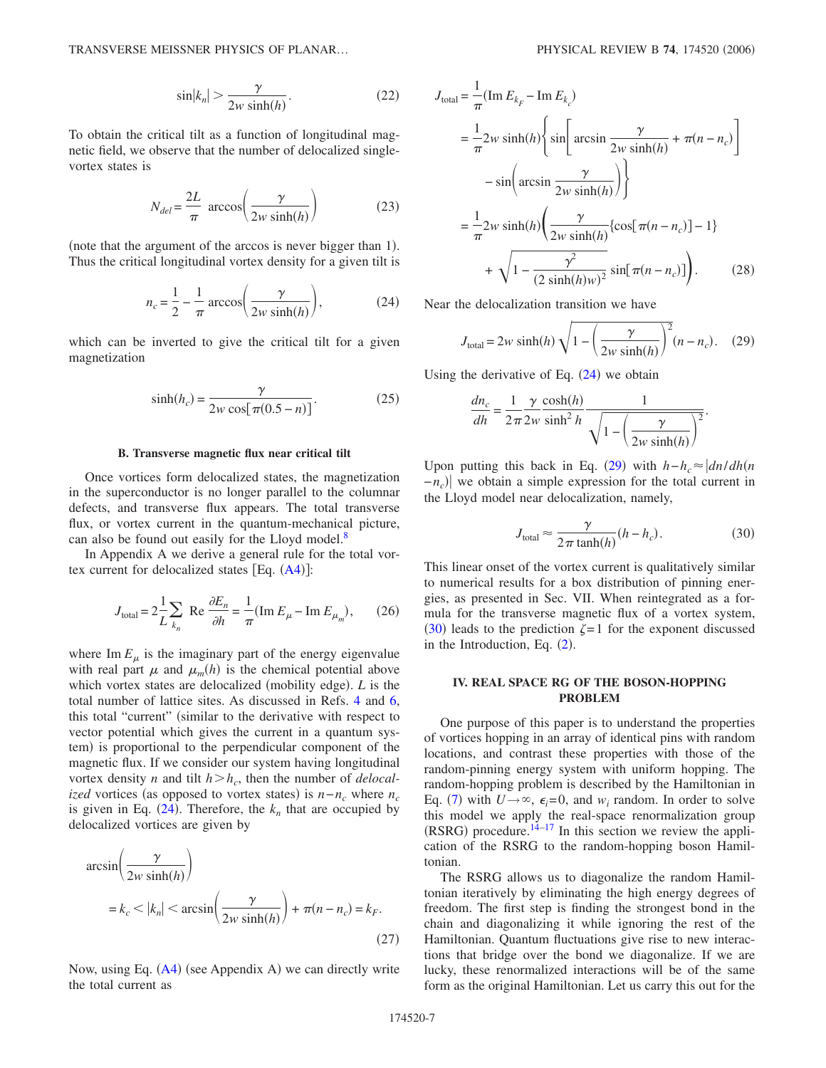$$
\sin|k_n| > \frac{\gamma}{2w \sinh(h)}.\tag{22}
$$

To obtain the critical tilt as a function of longitudinal magnetic field, we observe that the number of delocalized singlevortex states is

$$
N_{del} = \frac{2L}{\pi} \arccos\left(\frac{\gamma}{2w \sinh(h)}\right) \tag{23}
$$

<span id="page-6-0"></span>(note that the argument of the arccos is never bigger than 1). Thus the critical longitudinal vortex density for a given tilt is

$$
n_c = \frac{1}{2} - \frac{1}{\pi} \arccos\left(\frac{\gamma}{2w \sinh(h)}\right),\tag{24}
$$

which can be inverted to give the critical tilt for a given magnetization

$$
\sinh(h_c) = \frac{\gamma}{2w \cos[\pi(0.5 - n)]}.
$$
 (25)

### **B. Transverse magnetic flux near critical tilt**

Once vortices form delocalized states, the magnetization in the superconductor is no longer parallel to the columnar defects, and transverse flux appears. The total transverse flux, or vortex current in the quantum-mechanical picture, can also be found out easily for the Lloyd model. $8$ 

In Appendix A we derive a general rule for the total vortex current for delocalized states  $[Eq. (A4)]$  $[Eq. (A4)]$  $[Eq. (A4)]$ :

$$
J_{\text{total}} = 2\frac{1}{L} \sum_{k_n} \text{ Re } \frac{\partial E_n}{\partial h} = \frac{1}{\pi} (\text{Im } E_\mu - \text{Im } E_{\mu_m}), \qquad (26)
$$

where  $\text{Im } E_u$  is the imaginary part of the energy eigenvalue with real part  $\mu$  and  $\mu_m(h)$  is the chemical potential above which vortex states are delocalized (mobility edge). *L* is the total number of lattice sites. As discussed in Refs. [4](#page-19-3) and [6,](#page-19-5) this total "current" (similar to the derivative with respect to vector potential which gives the current in a quantum system) is proportional to the perpendicular component of the magnetic flux. If we consider our system having longitudinal vortex density *n* and tilt  $h > h_c$ , then the number of *delocalized* vortices (as opposed to vortex states) is  $n - n_c$  where  $n_c$ is given in Eq.  $(24)$  $(24)$  $(24)$ . Therefore, the  $k_n$  that are occupied by delocalized vortices are given by

$$
\arcsin\left(\frac{\gamma}{2w\sinh(h)}\right)
$$
  
=  $k_c$  <  $|k_n|$  <  $\arcsin\left(\frac{\gamma}{2w\sinh(h)}\right) + \pi(n - n_c) = k_F$ . (27)

Now, using Eq. ([A4](#page-18-0)) (see Appendix A) we can directly write the total current as

$$
J_{\text{total}} = \frac{1}{\pi} (\text{Im } E_{k_F} - \text{Im } E_{k_c})
$$
  
\n
$$
= \frac{1}{\pi} 2w \sinh(h) \left\{ \sin \left[ \arcsin \frac{\gamma}{2w \sinh(h)} + \pi(n - n_c) \right] \right\}
$$
  
\n
$$
- \sin \left( \arcsin \frac{\gamma}{2w \sinh(h)} \right) \}
$$
  
\n
$$
= \frac{1}{\pi} 2w \sinh(h) \left( \frac{\gamma}{2w \sinh(h)} \{ \cos[\pi(n - n_c)] - 1 \}
$$
  
\n
$$
+ \sqrt{1 - \frac{\gamma^2}{(2 \sinh(h)w)^2}} \sin[\pi(n - n_c)] \right). \tag{28}
$$

<span id="page-6-1"></span>Near the delocalization transition we have

$$
J_{\text{total}} = 2w \sinh(h) \sqrt{1 - \left(\frac{\gamma}{2w \sinh(h)}\right)^2} (n - n_c). \quad (29)
$$

Using the derivative of Eq.  $(24)$  $(24)$  $(24)$  we obtain

$$
\frac{dn_c}{dh} = \frac{1}{2\pi} \frac{\gamma}{2w} \frac{\cosh(h)}{\sinh^2 h} \frac{1}{\sqrt{1 - \left(\frac{\gamma}{2w} \frac{\sinh(h)}{\gamma}\right)^2}}.
$$

Upon putting this back in Eq. ([29](#page-6-1)) with  $h-h_c \approx |dn/dh(n)|$  $-\frac{n_c}{\sqrt{m}}$  we obtain a simple expression for the total current in the Lloyd model near delocalization, namely,

$$
J_{\text{total}} \approx \frac{\gamma}{2\pi \tanh(h)} (h - h_c). \tag{30}
$$

<span id="page-6-2"></span>This linear onset of the vortex current is qualitatively similar to numerical results for a box distribution of pinning energies, as presented in Sec. VII. When reintegrated as a formula for the transverse magnetic flux of a vortex system, ([30](#page-6-2)) leads to the prediction  $\zeta = 1$  for the exponent discussed in the Introduction, Eq.  $(2)$  $(2)$  $(2)$ .

# **IV. REAL SPACE RG OF THE BOSON-HOPPING PROBLEM**

One purpose of this paper is to understand the properties of vortices hopping in an array of identical pins with random locations, and contrast these properties with those of the random-pinning energy system with uniform hopping. The random-hopping problem is described by the Hamiltonian in Eq. ([7](#page-2-2)) with  $U \rightarrow \infty$ ,  $\epsilon_i = 0$ , and  $w_i$  random. In order to solve this model we apply the real-space renormalization group  $(RSRG)$  procedure.<sup>14[–17](#page-19-14)</sup> In this section we review the application of the RSRG to the random-hopping boson Hamiltonian.

The RSRG allows us to diagonalize the random Hamiltonian iteratively by eliminating the high energy degrees of freedom. The first step is finding the strongest bond in the chain and diagonalizing it while ignoring the rest of the Hamiltonian. Quantum fluctuations give rise to new interactions that bridge over the bond we diagonalize. If we are lucky, these renormalized interactions will be of the same form as the original Hamiltonian. Let us carry this out for the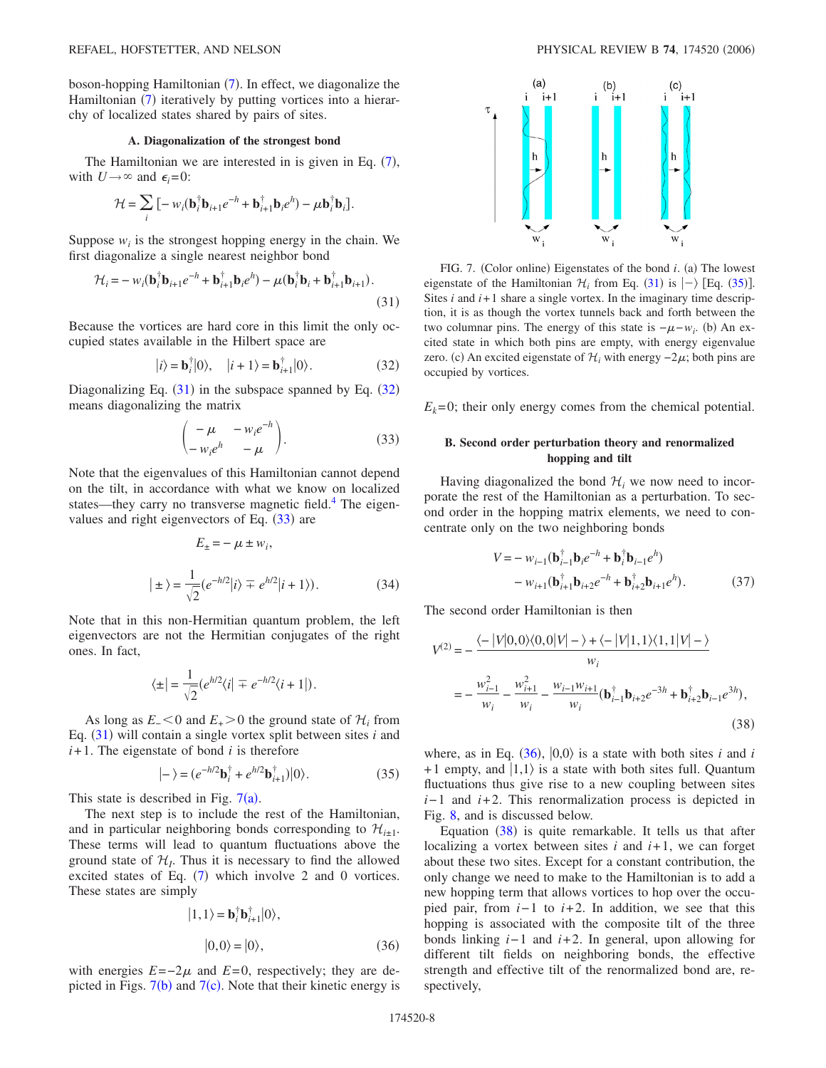boson-hopping Hamiltonian ([7](#page-2-2)). In effect, we diagonalize the Hamiltonian ([7](#page-2-2)) iteratively by putting vortices into a hierarchy of localized states shared by pairs of sites.

### **A. Diagonalization of the strongest bond**

The Hamiltonian we are interested in is given in Eq.  $(7)$  $(7)$  $(7)$ , with  $U \rightarrow \infty$  and  $\epsilon_i = 0$ :

$$
\mathcal{H} = \sum_{i} \left[ -w_i (\mathbf{b}_{i}^{\dagger} \mathbf{b}_{i+1} e^{-h} + \mathbf{b}_{i+1}^{\dagger} \mathbf{b}_{i} e^{h}) - \mu \mathbf{b}_{i}^{\dagger} \mathbf{b}_{i} \right].
$$

Suppose  $w_i$  is the strongest hopping energy in the chain. We first diagonalize a single nearest neighbor bond

<span id="page-7-0"></span>
$$
\mathcal{H}_i = -w_i(\mathbf{b}_i^{\dagger} \mathbf{b}_{i+1} e^{-h} + \mathbf{b}_{i+1}^{\dagger} \mathbf{b}_i e^h) - \mu(\mathbf{b}_i^{\dagger} \mathbf{b}_i + \mathbf{b}_{i+1}^{\dagger} \mathbf{b}_{i+1}).
$$
\n(31)

Because the vortices are hard core in this limit the only occupied states available in the Hilbert space are

$$
|i\rangle = \mathbf{b}_i^{\dagger}|0\rangle, \quad |i+1\rangle = \mathbf{b}_{i+1}^{\dagger}|0\rangle. \tag{32}
$$

<span id="page-7-2"></span><span id="page-7-1"></span>Diagonalizing Eq.  $(31)$  $(31)$  $(31)$  in the subspace spanned by Eq.  $(32)$  $(32)$  $(32)$ means diagonalizing the matrix

$$
\begin{pmatrix} -\mu & -w_i e^{-h} \\ -w_i e^h & -\mu \end{pmatrix}.
$$
 (33)

<span id="page-7-7"></span>Note that the eigenvalues of this Hamiltonian cannot depend on the tilt, in accordance with what we know on localized states—they carry no transverse magnetic field.<sup>4</sup> The eigenvalues and right eigenvectors of Eq.  $(33)$  $(33)$  $(33)$  are

$$
E_{\pm} = -\mu \pm w_i,
$$
  
\n
$$
|\pm\rangle = \frac{1}{\sqrt{2}} (e^{-h/2} |i\rangle \mp e^{h/2} |i+1\rangle).
$$
 (34)

Note that in this non-Hermitian quantum problem, the left eigenvectors are not the Hermitian conjugates of the right ones. In fact,

$$
\langle \pm | = \frac{1}{\sqrt{2}} (e^{h/2} \langle i | \mp e^{-h/2} \langle i+1 |).
$$

As long as  $E_$  < 0 and  $E_$  > 0 the ground state of  $H_i$  from Eq.  $(31)$  $(31)$  $(31)$  will contain a single vortex split between sites *i* and  $i+1$ . The eigenstate of bond  $i$  is therefore

$$
|-\rangle = (e^{-h/2}\mathbf{b}_i^{\dagger} + e^{h/2}\mathbf{b}_{i+1}^{\dagger})|0\rangle. \tag{35}
$$

<span id="page-7-6"></span>This state is described in Fig.  $7(a)$  $7(a)$ .

The next step is to include the rest of the Hamiltonian, and in particular neighboring bonds corresponding to  $\mathcal{H}_{i\pm 1}$ . These terms will lead to quantum fluctuations above the ground state of  $\mathcal{H}_I$ . Thus it is necessary to find the allowed excited states of Eq.  $(7)$  $(7)$  $(7)$  which involve 2 and 0 vortices. These states are simply

$$
|1,1\rangle = \mathbf{b}_i^{\dagger} \mathbf{b}_{i+1}^{\dagger} |0\rangle,
$$
  

$$
|0,0\rangle = |0\rangle,
$$
 (36)

<span id="page-7-4"></span>with energies  $E=-2\mu$  and  $E=0$ , respectively; they are depicted in Figs.  $7(b)$  $7(b)$  and  $7(c)$ . Note that their kinetic energy is

<span id="page-7-3"></span>

FIG. 7. (Color online) Eigenstates of the bond *i*. (a) The lowest eigenstate of the Hamiltonian  $\mathcal{H}_i$  from Eq. ([31](#page-7-0)) is  $|-\rangle$  [Eq. ([35](#page-7-6))]. Sites  $i$  and  $i+1$  share a single vortex. In the imaginary time description, it is as though the vortex tunnels back and forth between the two columnar pins. The energy of this state is  $-\mu - w_i$ . (b) An excited state in which both pins are empty, with energy eigenvalue zero. (c) An excited eigenstate of  $\mathcal{H}_i$  with energy  $-2\mu$ ; both pins are occupied by vortices.

 $E_k$ =0; their only energy comes from the chemical potential.

# **B. Second order perturbation theory and renormalized hopping and tilt**

Having diagonalized the bond  $\mathcal{H}_i$  we now need to incorporate the rest of the Hamiltonian as a perturbation. To second order in the hopping matrix elements, we need to concentrate only on the two neighboring bonds

$$
V = -w_{i-1}(\mathbf{b}_{i-1}^{\dagger}\mathbf{b}_{i}e^{-h} + \mathbf{b}_{i}^{\dagger}\mathbf{b}_{i-1}e^{h}) - w_{i+1}(\mathbf{b}_{i+1}^{\dagger}\mathbf{b}_{i+2}e^{-h} + \mathbf{b}_{i+2}^{\dagger}\mathbf{b}_{i+1}e^{h}).
$$
 (37)

The second order Hamiltonian is then

<span id="page-7-5"></span>
$$
V^{(2)} = -\frac{\langle -|V|0,0\rangle\langle0,0|V|-\rangle + \langle -|V|1,1\rangle\langle1,1|V|-\rangle}{w_i}
$$
  
= 
$$
-\frac{w_{i-1}^2}{w_i} - \frac{w_{i+1}^2}{w_i} - \frac{w_{i-1}w_{i+1}}{w_i}(\mathbf{b}_{i-1}^{\dagger}\mathbf{b}_{i+2}e^{-3h} + \mathbf{b}_{i+2}^{\dagger}\mathbf{b}_{i-1}e^{3h}),
$$
(38)

where, as in Eq.  $(36)$  $(36)$  $(36)$ ,  $|0,0\rangle$  is a state with both sites *i* and *i* +1 empty, and  $|1,1\rangle$  is a state with both sites full. Quantum fluctuations thus give rise to a new coupling between sites *i*−1 and *i*+2. This renormalization process is depicted in Fig. [8,](#page-8-0) and is discussed below.

Equation  $(38)$  $(38)$  $(38)$  is quite remarkable. It tells us that after localizing a vortex between sites  $i$  and  $i+1$ , we can forget about these two sites. Except for a constant contribution, the only change we need to make to the Hamiltonian is to add a new hopping term that allows vortices to hop over the occupied pair, from *i*−1 to *i*+2. In addition, we see that this hopping is associated with the composite tilt of the three bonds linking *i*− 1 and *i*+ 2. In general, upon allowing for different tilt fields on neighboring bonds, the effective strength and effective tilt of the renormalized bond are, respectively,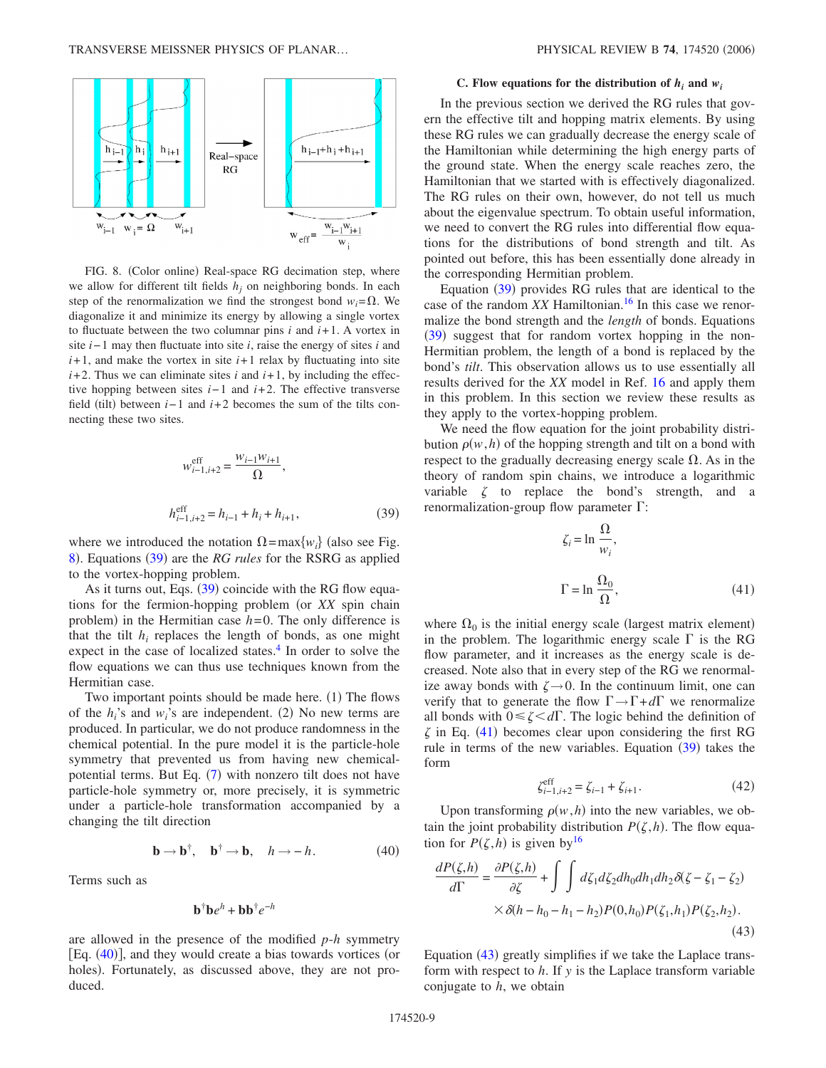<span id="page-8-0"></span>

FIG. 8. (Color online) Real-space RG decimation step, where we allow for different tilt fields  $h_i$  on neighboring bonds. In each step of the renormalization we find the strongest bond  $w_i = \Omega$ . We diagonalize it and minimize its energy by allowing a single vortex to fluctuate between the two columnar pins  $i$  and  $i+1$ . A vortex in site *i*− 1 may then fluctuate into site *i*, raise the energy of sites *i* and  $i+1$ , and make the vortex in site  $i+1$  relax by fluctuating into site  $i+2$ . Thus we can eliminate sites  $i$  and  $i+1$ , by including the effective hopping between sites *i*− 1 and *i*+ 2. The effective transverse field (tilt) between  $i-1$  and  $i+2$  becomes the sum of the tilts connecting these two sites.

$$
w_{i-1,i+2}^{\text{eff}} = \frac{w_{i-1}w_{i+1}}{\Omega},
$$
  

$$
h_{i-1,i+2}^{\text{eff}} = h_{i-1} + h_i + h_{i+1},
$$
 (39)

<span id="page-8-1"></span>where we introduced the notation  $\Omega = \max\{w_i\}$  (also see Fig. [8](#page-8-0)). Equations ([39](#page-8-1)) are the *RG rules* for the RSRG as applied to the vortex-hopping problem.

As it turns out, Eqs.  $(39)$  $(39)$  $(39)$  coincide with the RG flow equations for the fermion-hopping problem (or *XX* spin chain problem) in the Hermitian case  $h=0$ . The only difference is that the tilt  $h_i$  replaces the length of bonds, as one might expect in the case of localized states.<sup>4</sup> In order to solve the flow equations we can thus use techniques known from the Hermitian case.

Two important points should be made here. (1) The flows of the  $h_i$ 's and  $w_i$ 's are independent. (2) No new terms are produced. In particular, we do not produce randomness in the chemical potential. In the pure model it is the particle-hole symmetry that prevented us from having new chemical-potential terms. But Eq. ([7](#page-2-2)) with nonzero tilt does not have particle-hole symmetry or, more precisely, it is symmetric under a particle-hole transformation accompanied by a changing the tilt direction

$$
\mathbf{b} \to \mathbf{b}^{\dagger}, \quad \mathbf{b}^{\dagger} \to \mathbf{b}, \quad h \to -h. \tag{40}
$$

<span id="page-8-2"></span>Terms such as

$$
\mathbf{b}^\dagger \mathbf{b} e^h + \mathbf{b} \mathbf{b}^\dagger e^{-h}
$$

are allowed in the presence of the modified *p*-*h* symmetry [Eq. ([40](#page-8-2))], and they would create a bias towards vortices (or holes). Fortunately, as discussed above, they are not produced.

#### **C.** Flow equations for the distribution of  $h_i$  and  $w_i$

In the previous section we derived the RG rules that govern the effective tilt and hopping matrix elements. By using these RG rules we can gradually decrease the energy scale of the Hamiltonian while determining the high energy parts of the ground state. When the energy scale reaches zero, the Hamiltonian that we started with is effectively diagonalized. The RG rules on their own, however, do not tell us much about the eigenvalue spectrum. To obtain useful information, we need to convert the RG rules into differential flow equations for the distributions of bond strength and tilt. As pointed out before, this has been essentially done already in the corresponding Hermitian problem.

Equation ([39](#page-8-1)) provides RG rules that are identical to the case of the random *XX* Hamiltonian.<sup>16</sup> In this case we renormalize the bond strength and the *length* of bonds. Equations ([39](#page-8-1)) suggest that for random vortex hopping in the non-Hermitian problem, the length of a bond is replaced by the bond's *tilt*. This observation allows us to use essentially all results derived for the *XX* model in Ref. [16](#page-19-13) and apply them in this problem. In this section we review these results as they apply to the vortex-hopping problem.

<span id="page-8-3"></span>We need the flow equation for the joint probability distribution  $\rho(w, h)$  of the hopping strength and tilt on a bond with respect to the gradually decreasing energy scale  $\Omega$ . As in the theory of random spin chains, we introduce a logarithmic variable  $\zeta$  to replace the bond's strength, and a renormalization-group flow parameter  $\Gamma$ :

$$
\zeta_i = \ln \frac{\Omega}{w_i},
$$
  

$$
\Gamma = \ln \frac{\Omega_0}{\Omega},
$$
 (41)

where  $\Omega_0$  is the initial energy scale (largest matrix element) in the problem. The logarithmic energy scale  $\Gamma$  is the RG flow parameter, and it increases as the energy scale is decreased. Note also that in every step of the RG we renormalize away bonds with  $\zeta \rightarrow 0$ . In the continuum limit, one can verify that to generate the flow  $\Gamma \rightarrow \Gamma + d\Gamma$  we renormalize all bonds with  $0 \le \zeta \le d\Gamma$ . The logic behind the definition of  $\zeta$  in Eq. ([41](#page-8-3)) becomes clear upon considering the first RG rule in terms of the new variables. Equation ([39](#page-8-1)) takes the form

$$
\zeta_{i-1,i+2}^{\text{eff}} = \zeta_{i-1} + \zeta_{i+1}.
$$
 (42)

Upon transforming  $\rho(w, h)$  into the new variables, we obtain the joint probability distribution  $P(\zeta, h)$ . The flow equation for  $P(\zeta, h)$  is given by<sup>16</sup>

<span id="page-8-4"></span>
$$
\frac{dP(\zeta,h)}{d\Gamma} = \frac{\partial P(\zeta,h)}{\partial \zeta} + \int \int d\zeta_1 d\zeta_2 dh_0 dh_1 dh_2 \delta(\zeta - \zeta_1 - \zeta_2)
$$
  
 
$$
\times \delta(h - h_0 - h_1 - h_2) P(0,h_0) P(\zeta_1,h_1) P(\zeta_2,h_2).
$$
 (43)

Equation ([43](#page-8-4)) greatly simplifies if we take the Laplace transform with respect to *h*. If *y* is the Laplace transform variable conjugate to *h*, we obtain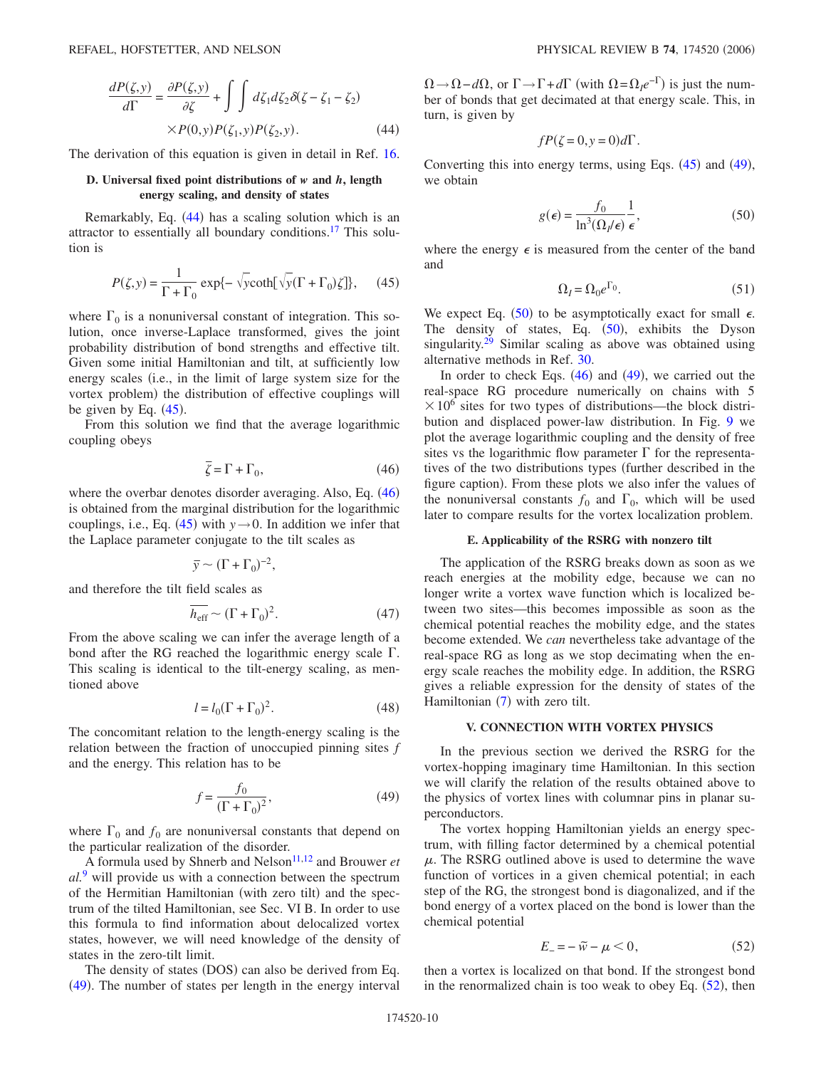<span id="page-9-0"></span>
$$
\frac{dP(\zeta, y)}{d\Gamma} = \frac{\partial P(\zeta, y)}{\partial \zeta} + \int \int d\zeta_1 d\zeta_2 \delta(\zeta - \zeta_1 - \zeta_2)
$$
  
×P(0, y)P(\zeta\_1, y)P(\zeta\_2, y). (44)

The derivation of this equation is given in detail in Ref. [16.](#page-19-13)

### **D. Universal fixed point distributions of** *w* **and** *h***, length energy scaling, and density of states**

<span id="page-9-1"></span>Remarkably, Eq. ([44](#page-9-0)) has a scaling solution which is an attractor to essentially all boundary conditions.<sup>17</sup> This solution is

$$
P(\zeta, y) = \frac{1}{\Gamma + \Gamma_0} \exp\{-\sqrt{y} \coth[\sqrt{y}(\Gamma + \Gamma_0)\zeta]\},\qquad(45)
$$

where  $\Gamma_0$  is a nonuniversal constant of integration. This solution, once inverse-Laplace transformed, gives the joint probability distribution of bond strengths and effective tilt. Given some initial Hamiltonian and tilt, at sufficiently low energy scales (i.e., in the limit of large system size for the vortex problem) the distribution of effective couplings will be given by Eq.  $(45)$  $(45)$  $(45)$ .

From this solution we find that the average logarithmic coupling obeys

$$
\overline{\zeta} = \Gamma + \Gamma_0,\tag{46}
$$

<span id="page-9-2"></span>where the overbar denotes disorder averaging. Also, Eq. ([46](#page-9-2)) is obtained from the marginal distribution for the logarithmic couplings, i.e., Eq. ([45](#page-9-1)) with  $y \rightarrow 0$ . In addition we infer that the Laplace parameter conjugate to the tilt scales as

$$
\bar{y} \sim (\Gamma + \Gamma_0)^{-2},
$$

<span id="page-9-6"></span>and therefore the tilt field scales as

$$
\overline{h_{\rm eff}} \sim (\Gamma + \Gamma_0)^2. \tag{47}
$$

From the above scaling we can infer the average length of a bond after the RG reached the logarithmic energy scale  $\Gamma$ . This scaling is identical to the tilt-energy scaling, as mentioned above

$$
l = l_0(\Gamma + \Gamma_0)^2.
$$
 (48)

<span id="page-9-7"></span>The concomitant relation to the length-energy scaling is the relation between the fraction of unoccupied pinning sites *f* and the energy. This relation has to be

$$
f = \frac{f_0}{(\Gamma + \Gamma_0)^2},\tag{49}
$$

<span id="page-9-3"></span>where  $\Gamma_0$  and  $f_0$  are nonuniversal constants that depend on the particular realization of the disorder.

A formula used by Shnerb and Nelson<sup>11[,12](#page-19-24)</sup> and Brouwer *et al.*[9](#page-19-17) will provide us with a connection between the spectrum of the Hermitian Hamiltonian (with zero tilt) and the spectrum of the tilted Hamiltonian, see Sec. VI B. In order to use this formula to find information about delocalized vortex states, however, we will need knowledge of the density of states in the zero-tilt limit.

The density of states (DOS) can also be derived from Eq. ([49](#page-9-3)). The number of states per length in the energy interval

 $\Omega \rightarrow \Omega - d\Omega$ , or  $\Gamma \rightarrow \Gamma + d\Gamma$  (with  $\Omega = \Omega_I e^{-\Gamma}$ ) is just the number of bonds that get decimated at that energy scale. This, in turn, is given by

$$
fP(\zeta=0,y=0)d\Gamma.
$$

<span id="page-9-4"></span>Converting this into energy terms, using Eqs.  $(45)$  $(45)$  $(45)$  and  $(49)$  $(49)$  $(49)$ , we obtain

$$
g(\epsilon) = \frac{f_0}{\ln^3(\Omega_I/\epsilon)} \frac{1}{\epsilon},\tag{50}
$$

where the energy  $\epsilon$  is measured from the center of the band and

$$
\Omega_I = \Omega_0 e^{\Gamma_0}.\tag{51}
$$

We expect Eq. ([50](#page-9-4)) to be asymptotically exact for small  $\epsilon$ . The density of states, Eq.  $(50)$  $(50)$  $(50)$ , exhibits the Dyson singularity.<sup>29</sup> Similar scaling as above was obtained using alternative methods in Ref. [30.](#page-19-28)

In order to check Eqs.  $(46)$  $(46)$  $(46)$  and  $(49)$  $(49)$  $(49)$ , we carried out the real-space RG procedure numerically on chains with 5  $\times 10^6$  sites for two types of distributions—the block distribution and displaced power-law distribution. In Fig. [9](#page-10-0) we plot the average logarithmic coupling and the density of free sites vs the logarithmic flow parameter  $\Gamma$  for the representatives of the two distributions types further described in the figure caption). From these plots we also infer the values of the nonuniversal constants  $f_0$  and  $\Gamma_0$ , which will be used later to compare results for the vortex localization problem.

### **E. Applicability of the RSRG with nonzero tilt**

The application of the RSRG breaks down as soon as we reach energies at the mobility edge, because we can no longer write a vortex wave function which is localized between two sites—this becomes impossible as soon as the chemical potential reaches the mobility edge, and the states become extended. We *can* nevertheless take advantage of the real-space RG as long as we stop decimating when the energy scale reaches the mobility edge. In addition, the RSRG gives a reliable expression for the density of states of the Hamiltonian ([7](#page-2-2)) with zero tilt.

## **V. CONNECTION WITH VORTEX PHYSICS**

In the previous section we derived the RSRG for the vortex-hopping imaginary time Hamiltonian. In this section we will clarify the relation of the results obtained above to the physics of vortex lines with columnar pins in planar superconductors.

The vortex hopping Hamiltonian yields an energy spectrum, with filling factor determined by a chemical potential  $\mu$ . The RSRG outlined above is used to determine the wave function of vortices in a given chemical potential; in each step of the RG, the strongest bond is diagonalized, and if the bond energy of a vortex placed on the bond is lower than the chemical potential

$$
E_{-} = -\tilde{w} - \mu < 0,\tag{52}
$$

<span id="page-9-5"></span>then a vortex is localized on that bond. If the strongest bond in the renormalized chain is too weak to obey Eq.  $(52)$  $(52)$  $(52)$ , then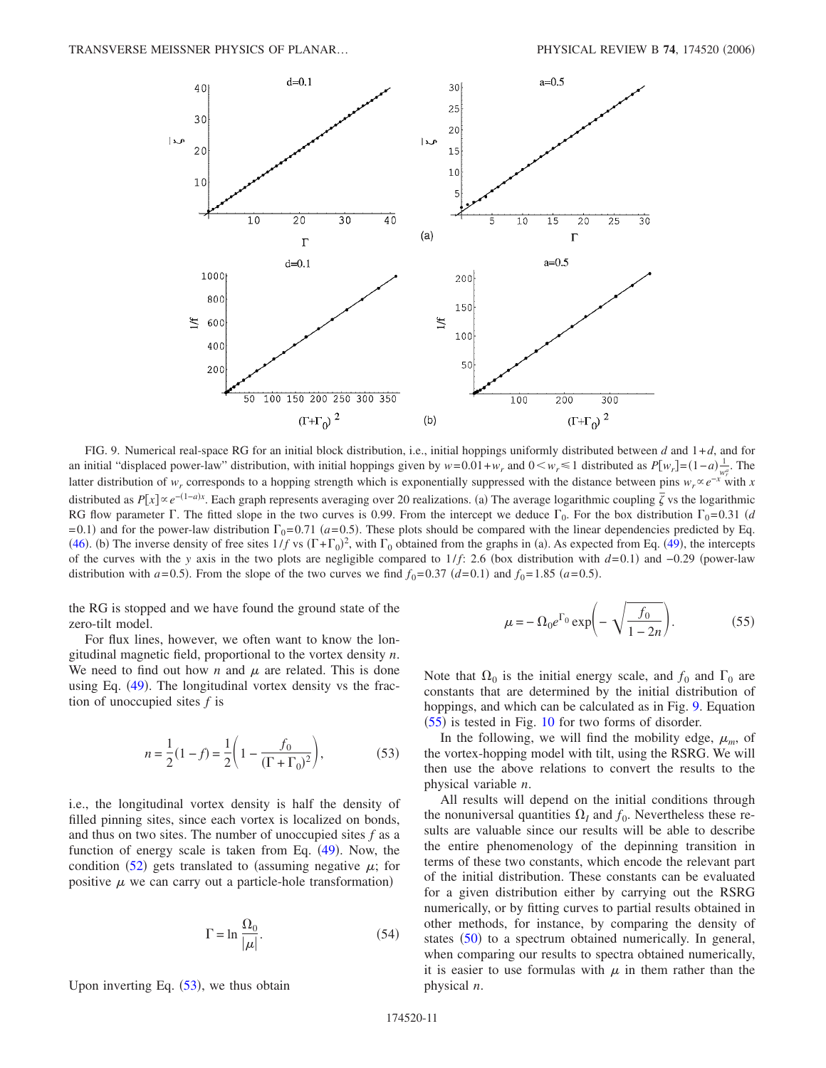<span id="page-10-0"></span>

FIG. 9. Numerical real-space RG for an initial block distribution, i.e., initial hoppings uniformly distributed between *d* and 1+*d*, and for an initial "displaced power-law" distribution, with initial hoppings given by  $w = 0.01 + w_r$  and  $0 \lt w_r \le 1$  distributed as  $P[w_r] = (1 - a) \frac{1}{w_r^a}$ . The latter distribution of *w<sub>r</sub>* corresponds to a hopping strength which is exponentially suppressed with the distance between pins  $w_r \propto e^{-x}$  with *x* distributed as  $P[x] \propto e^{-(1-a)x}$ . Each graph represents averaging over 20 realizations. (a) The average logarithmic coupling  $\bar{\zeta}$  vs the logarithmic RG flow parameter  $\Gamma$ . The fitted slope in the two curves is 0.99. From the intercept we deduce  $\Gamma_0$ . For the box distribution  $\Gamma_0$ =0.31 *(d*)  $= 0.1$ ) and for the power-law distribution  $\Gamma_0 = 0.71$  ( $a = 0.5$ ). These plots should be compared with the linear dependencies predicted by Eq. ([46](#page-9-2)). (b) The inverse density of free sites  $1/f$  vs  $(\Gamma + \Gamma_0)^2$ , with  $\Gamma_0$  obtained from the graphs in (a). As expected from Eq. ([49](#page-9-3)), the intercepts of the curves with the *y* axis in the two plots are negligible compared to 1/*f*: 2.6 (box distribution with *d*=0.1) and −0.29 (power-law distribution with  $a=0.5$ ). From the slope of the two curves we find  $f_0=0.37$   $(d=0.1)$  and  $f_0=1.85$   $(a=0.5)$ .

the RG is stopped and we have found the ground state of the zero-tilt model.

For flux lines, however, we often want to know the longitudinal magnetic field, proportional to the vortex density *n*. We need to find out how  $n$  and  $\mu$  are related. This is done using Eq. ([49](#page-9-3)). The longitudinal vortex density vs the fraction of unoccupied sites *f* is

$$
n = \frac{1}{2}(1 - f) = \frac{1}{2}\left(1 - \frac{f_0}{(\Gamma + \Gamma_0)^2}\right),
$$
 (53)

<span id="page-10-1"></span>i.e., the longitudinal vortex density is half the density of filled pinning sites, since each vortex is localized on bonds, and thus on two sites. The number of unoccupied sites *f* as a function of energy scale is taken from Eq. ([49](#page-9-3)). Now, the condition ([52](#page-9-5)) gets translated to (assuming negative  $\mu$ ; for positive  $\mu$  we can carry out a particle-hole transformation)

$$
\Gamma = \ln \frac{\Omega_0}{|\mu|}.\tag{54}
$$

Upon inverting Eq.  $(53)$  $(53)$  $(53)$ , we thus obtain

$$
\mu = -\Omega_0 e^{\Gamma_0} \exp\left(-\sqrt{\frac{f_0}{1 - 2n}}\right).
$$
 (55)

<span id="page-10-2"></span>Note that  $\Omega_0$  is the initial energy scale, and  $f_0$  and  $\Gamma_0$  are constants that are determined by the initial distribution of hoppings, and which can be calculated as in Fig. [9.](#page-10-0) Equation  $(55)$  $(55)$  $(55)$  is tested in Fig. [10](#page-11-0) for two forms of disorder.

In the following, we will find the mobility edge,  $\mu_m$ , of the vortex-hopping model with tilt, using the RSRG. We will then use the above relations to convert the results to the physical variable *n*.

All results will depend on the initial conditions through the nonuniversal quantities  $\Omega_I$  and  $f_0$ . Nevertheless these results are valuable since our results will be able to describe the entire phenomenology of the depinning transition in terms of these two constants, which encode the relevant part of the initial distribution. These constants can be evaluated for a given distribution either by carrying out the RSRG numerically, or by fitting curves to partial results obtained in other methods, for instance, by comparing the density of states ([50](#page-9-4)) to a spectrum obtained numerically. In general, when comparing our results to spectra obtained numerically, it is easier to use formulas with  $\mu$  in them rather than the physical *n*.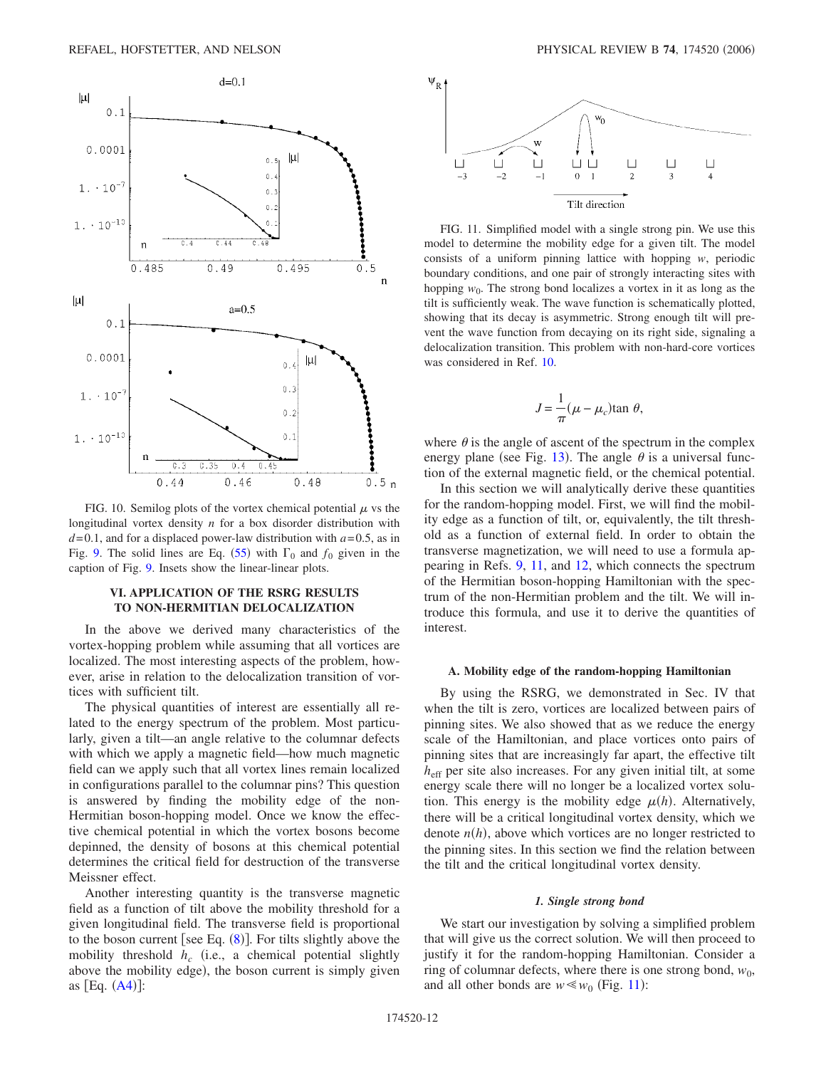<span id="page-11-0"></span>

FIG. 10. Semilog plots of the vortex chemical potential  $\mu$  vs the longitudinal vortex density *n* for a box disorder distribution with  $d=0.1$ , and for a displaced power-law distribution with  $a=0.5$ , as in Fig. [9.](#page-10-0) The solid lines are Eq. ([55](#page-10-2)) with  $\Gamma_0$  and  $f_0$  given in the caption of Fig. [9.](#page-10-0) Insets show the linear-linear plots.

# **VI. APPLICATION OF THE RSRG RESULTS TO NON-HERMITIAN DELOCALIZATION**

In the above we derived many characteristics of the vortex-hopping problem while assuming that all vortices are localized. The most interesting aspects of the problem, however, arise in relation to the delocalization transition of vortices with sufficient tilt.

The physical quantities of interest are essentially all related to the energy spectrum of the problem. Most particularly, given a tilt—an angle relative to the columnar defects with which we apply a magnetic field—how much magnetic field can we apply such that all vortex lines remain localized in configurations parallel to the columnar pins? This question is answered by finding the mobility edge of the non-Hermitian boson-hopping model. Once we know the effective chemical potential in which the vortex bosons become depinned, the density of bosons at this chemical potential determines the critical field for destruction of the transverse Meissner effect.

Another interesting quantity is the transverse magnetic field as a function of tilt above the mobility threshold for a given longitudinal field. The transverse field is proportional to the boson current [see Eq.  $(8)$  $(8)$  $(8)$ ]. For tilts slightly above the mobility threshold  $h_c$  (i.e., a chemical potential slightly above the mobility edge), the boson current is simply given as  $[Eq. (A4)]$  $[Eq. (A4)]$  $[Eq. (A4)]$ :

<span id="page-11-1"></span>

FIG. 11. Simplified model with a single strong pin. We use this model to determine the mobility edge for a given tilt. The model consists of a uniform pinning lattice with hopping *w*, periodic boundary conditions, and one pair of strongly interacting sites with hopping  $w_0$ . The strong bond localizes a vortex in it as long as the tilt is sufficiently weak. The wave function is schematically plotted, showing that its decay is asymmetric. Strong enough tilt will prevent the wave function from decaying on its right side, signaling a delocalization transition. This problem with non-hard-core vortices was considered in Ref. [10.](#page-19-8)

$$
J = \frac{1}{\pi}(\mu - \mu_c) \tan \theta,
$$

where  $\theta$  is the angle of ascent of the spectrum in the complex energy plane (see Fig. [13](#page-14-0)). The angle  $\theta$  is a universal function of the external magnetic field, or the chemical potential.

In this section we will analytically derive these quantities for the random-hopping model. First, we will find the mobility edge as a function of tilt, or, equivalently, the tilt threshold as a function of external field. In order to obtain the transverse magnetization, we will need to use a formula appearing in Refs. [9,](#page-19-17) [11,](#page-19-9) and [12,](#page-19-24) which connects the spectrum of the Hermitian boson-hopping Hamiltonian with the spectrum of the non-Hermitian problem and the tilt. We will introduce this formula, and use it to derive the quantities of interest.

#### **A. Mobility edge of the random-hopping Hamiltonian**

By using the RSRG, we demonstrated in Sec. IV that when the tilt is zero, vortices are localized between pairs of pinning sites. We also showed that as we reduce the energy scale of the Hamiltonian, and place vortices onto pairs of pinning sites that are increasingly far apart, the effective tilt *h*eff per site also increases. For any given initial tilt, at some energy scale there will no longer be a localized vortex solution. This energy is the mobility edge  $\mu(h)$ . Alternatively, there will be a critical longitudinal vortex density, which we denote  $n(h)$ , above which vortices are no longer restricted to the pinning sites. In this section we find the relation between the tilt and the critical longitudinal vortex density.

#### *1. Single strong bond*

We start our investigation by solving a simplified problem that will give us the correct solution. We will then proceed to justify it for the random-hopping Hamiltonian. Consider a ring of columnar defects, where there is one strong bond,  $w_0$ , and all other bonds are  $w \leq w_0$  (Fig. [11](#page-11-1)):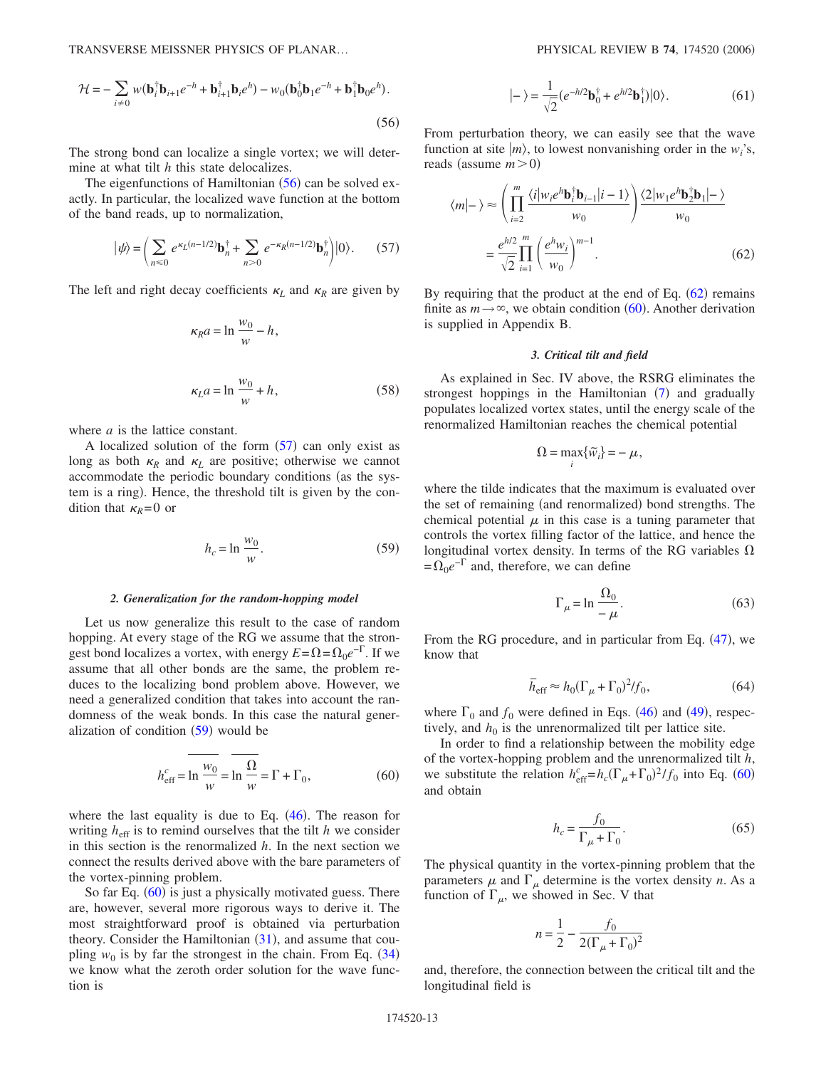TRANSVERSE MEISSNER PHYSICS OF PLANAR...

<span id="page-12-0"></span>
$$
\mathcal{H} = -\sum_{i \neq 0} w(\mathbf{b}_i^{\dagger} \mathbf{b}_{i+1} e^{-h} + \mathbf{b}_{i+1}^{\dagger} \mathbf{b}_i e^h) - w_0(\mathbf{b}_0^{\dagger} \mathbf{b}_1 e^{-h} + \mathbf{b}_1^{\dagger} \mathbf{b}_0 e^h).
$$
\n(56)

The strong bond can localize a single vortex; we will determine at what tilt *h* this state delocalizes.

The eigenfunctions of Hamiltonian ([56](#page-12-0)) can be solved exactly. In particular, the localized wave function at the bottom of the band reads, up to normalization,

$$
|\psi\rangle = \left(\sum_{n\leq 0} e^{\kappa_L(n-1/2)} \mathbf{b}_n^{\dagger} + \sum_{n>0} e^{-\kappa_R(n-1/2)} \mathbf{b}_n^{\dagger}\right)|0\rangle. \tag{57}
$$

<span id="page-12-5"></span><span id="page-12-1"></span>The left and right decay coefficients  $\kappa_L$  and  $\kappa_R$  are given by

$$
\kappa_R a = \ln \frac{w_0}{w} - h,
$$
  

$$
\kappa_L a = \ln \frac{w_0}{w} + h,
$$
 (58)

where *a* is the lattice constant.

A localized solution of the form  $(57)$  $(57)$  $(57)$  can only exist as long as both  $\kappa_R$  and  $\kappa_L$  are positive; otherwise we cannot accommodate the periodic boundary conditions (as the system is a ring). Hence, the threshold tilt is given by the condition that  $\kappa_R = 0$  or

$$
h_c = \ln \frac{w_0}{w}.\tag{59}
$$

## <span id="page-12-2"></span>*2. Generalization for the random-hopping model*

Let us now generalize this result to the case of random hopping. At every stage of the RG we assume that the strongest bond localizes a vortex, with energy  $E = \Omega = \Omega_0 e^{-\Gamma}$ . If we assume that all other bonds are the same, the problem reduces to the localizing bond problem above. However, we need a generalized condition that takes into account the randomness of the weak bonds. In this case the natural generalization of condition  $(59)$  $(59)$  $(59)$  would be

$$
h_{\text{eff}}^c = \ln \frac{w_0}{w} = \ln \frac{\Omega}{w} = \Gamma + \Gamma_0,\tag{60}
$$

<span id="page-12-3"></span>where the last equality is due to Eq.  $(46)$  $(46)$  $(46)$ . The reason for writing  $h_{\text{eff}}$  is to remind ourselves that the tilt *h* we consider in this section is the renormalized *h*. In the next section we connect the results derived above with the bare parameters of the vortex-pinning problem.

So far Eq. ([60](#page-12-3)) is just a physically motivated guess. There are, however, several more rigorous ways to derive it. The most straightforward proof is obtained via perturbation theory. Consider the Hamiltonian  $(31)$  $(31)$  $(31)$ , and assume that coupling  $w_0$  is by far the strongest in the chain. From Eq.  $(34)$  $(34)$  $(34)$ we know what the zeroth order solution for the wave function is

$$
|-\rangle = \frac{1}{\sqrt{2}} (e^{-h/2} \mathbf{b}_0^{\dagger} + e^{h/2} \mathbf{b}_1^{\dagger}) |0\rangle.
$$
 (61)

From perturbation theory, we can easily see that the wave function at site  $|m\rangle$ , to lowest nonvanishing order in the  $w_i$ 's, reads (assume  $m > 0$ )

<span id="page-12-4"></span>
$$
\langle m|-\rangle \approx \left(\prod_{i=2}^{m} \frac{\langle i|w_i e^h \mathbf{b}_i^{\dagger} \mathbf{b}_{i-1} |i-1 \rangle}{w_0}\right) \frac{\langle 2|w_1 e^h \mathbf{b}_2^{\dagger} \mathbf{b}_1 |-\rangle}{w_0}
$$

$$
= \frac{e^{h/2}}{\sqrt{2}} \prod_{i=1}^{m} \left(\frac{e^h w_i}{w_0}\right)^{m-1}.
$$
(62)

By requiring that the product at the end of Eq.  $(62)$  $(62)$  $(62)$  remains finite as  $m \rightarrow \infty$ , we obtain condition ([60](#page-12-3)). Another derivation is supplied in Appendix B.

### *3. Critical tilt and field*

As explained in Sec. IV above, the RSRG eliminates the strongest hoppings in the Hamiltonian ([7](#page-2-2)) and gradually populates localized vortex states, until the energy scale of the renormalized Hamiltonian reaches the chemical potential

$$
\Omega = \max_{i} \{ \widetilde{w}_{i} \} = -\mu,
$$

where the tilde indicates that the maximum is evaluated over the set of remaining (and renormalized) bond strengths. The chemical potential  $\mu$  in this case is a tuning parameter that controls the vortex filling factor of the lattice, and hence the longitudinal vortex density. In terms of the RG variables  $\Omega$  $=\Omega_0e^{-\Gamma}$  and, therefore, we can define

$$
\Gamma_{\mu} = \ln \frac{\Omega_0}{-\mu}.
$$
\n(63)

From the RG procedure, and in particular from Eq. ([47](#page-9-6)), we know that

$$
\overline{h}_{\rm eff} \approx h_0 (\Gamma_\mu + \Gamma_0)^2 / f_0, \qquad (64)
$$

where  $\Gamma_0$  and  $f_0$  were defined in Eqs. ([46](#page-9-2)) and ([49](#page-9-3)), respectively, and  $h_0$  is the unrenormalized tilt per lattice site.

In order to find a relationship between the mobility edge of the vortex-hopping problem and the unrenormalized tilt *h*, we substitute the relation  $h_{\text{eff}}^c = h_c(\Gamma_\mu + \Gamma_0)^2 / f_0$  into Eq. ([60](#page-12-3)) and obtain

$$
h_c = \frac{f_0}{\Gamma_\mu + \Gamma_0}.\tag{65}
$$

<span id="page-12-6"></span>The physical quantity in the vortex-pinning problem that the parameters  $\mu$  and  $\Gamma_{\mu}$  determine is the vortex density *n*. As a function of  $\Gamma_{\mu}$ , we showed in Sec. V that

$$
n = \frac{1}{2} - \frac{f_0}{2(\Gamma_\mu + \Gamma_0)^2}
$$

and, therefore, the connection between the critical tilt and the longitudinal field is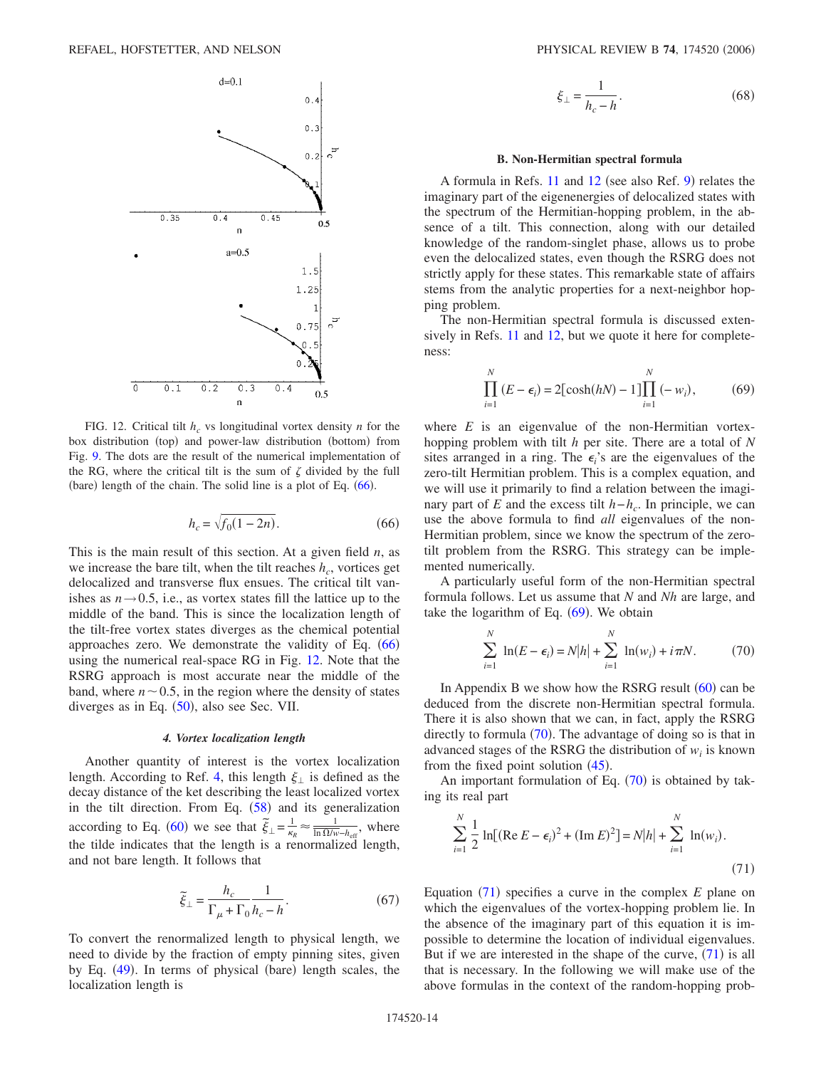<span id="page-13-1"></span>

FIG. 12. Critical tilt  $h_c$  vs longitudinal vortex density *n* for the box distribution (top) and power-law distribution (bottom) from Fig. [9.](#page-10-0) The dots are the result of the numerical implementation of the RG, where the critical tilt is the sum of  $\zeta$  divided by the full (bare) length of the chain. The solid line is a plot of Eq. ([66](#page-13-0)).

$$
h_c = \sqrt{f_0(1 - 2n)}.
$$
\n(66)

<span id="page-13-0"></span>This is the main result of this section. At a given field *n*, as we increase the bare tilt, when the tilt reaches  $h_c$ , vortices get delocalized and transverse flux ensues. The critical tilt vanishes as  $n \rightarrow 0.5$ , i.e., as vortex states fill the lattice up to the middle of the band. This is since the localization length of the tilt-free vortex states diverges as the chemical potential approaches zero. We demonstrate the validity of Eq.  $(66)$  $(66)$  $(66)$ using the numerical real-space RG in Fig. [12.](#page-13-1) Note that the RSRG approach is most accurate near the middle of the band, where  $n \sim 0.5$ , in the region where the density of states diverges as in Eq.  $(50)$  $(50)$  $(50)$ , also see Sec. VII.

#### *4. Vortex localization length*

Another quantity of interest is the vortex localization length. According to Ref. [4,](#page-19-3) this length  $\xi_{\perp}$  is defined as the decay distance of the ket describing the least localized vortex in the tilt direction. From Eq.  $(58)$  $(58)$  $(58)$  and its generalization according to Eq. ([60](#page-12-3)) we see that  $\frac{z}{\xi_{\perp}} = \frac{1}{\kappa_{R}} \approx \frac{1}{\ln \Omega/w - h_{\text{eff}}},$  where the tilde indicates that the length is a renormalized length, and not bare length. It follows that

$$
\widetilde{\xi}_{\perp} = \frac{h_c}{\Gamma_{\mu} + \Gamma_0} \frac{1}{h_c - h}.
$$
\n(67)

To convert the renormalized length to physical length, we need to divide by the fraction of empty pinning sites, given by Eq. ([49](#page-9-3)). In terms of physical (bare) length scales, the localization length is

$$
\xi_{\perp} = \frac{1}{h_c - h}.\tag{68}
$$

#### **B. Non-Hermitian spectral formula**

A formula in Refs.  $11$  and  $12$  (see also Ref. [9](#page-19-17)) relates the imaginary part of the eigenenergies of delocalized states with the spectrum of the Hermitian-hopping problem, in the absence of a tilt. This connection, along with our detailed knowledge of the random-singlet phase, allows us to probe even the delocalized states, even though the RSRG does not strictly apply for these states. This remarkable state of affairs stems from the analytic properties for a next-neighbor hopping problem.

<span id="page-13-2"></span>The non-Hermitian spectral formula is discussed extensively in Refs. [11](#page-19-9) and [12,](#page-19-24) but we quote it here for completeness:

$$
\prod_{i=1}^{N} (E - \epsilon_i) = 2[\cosh(hN) - 1] \prod_{i=1}^{N} (-w_i),
$$
 (69)

where *E* is an eigenvalue of the non-Hermitian vortexhopping problem with tilt *h* per site. There are a total of *N* sites arranged in a ring. The  $\epsilon_i$ 's are the eigenvalues of the zero-tilt Hermitian problem. This is a complex equation, and we will use it primarily to find a relation between the imaginary part of *E* and the excess tilt  $h-h_c$ . In principle, we can use the above formula to find *all* eigenvalues of the non-Hermitian problem, since we know the spectrum of the zerotilt problem from the RSRG. This strategy can be implemented numerically.

<span id="page-13-3"></span>A particularly useful form of the non-Hermitian spectral formula follows. Let us assume that *N* and *Nh* are large, and take the logarithm of Eq.  $(69)$  $(69)$  $(69)$ . We obtain

$$
\sum_{i=1}^{N} \ln(E - \epsilon_i) = N|h| + \sum_{i=1}^{N} \ln(w_i) + i\pi N.
$$
 (70)

In Appendix B we show how the RSRG result  $(60)$  $(60)$  $(60)$  can be deduced from the discrete non-Hermitian spectral formula. There it is also shown that we can, in fact, apply the RSRG directly to formula ([70](#page-13-3)). The advantage of doing so is that in advanced stages of the RSRG the distribution of  $w_i$  is known from the fixed point solution  $(45)$  $(45)$  $(45)$ .

<span id="page-13-4"></span>An important formulation of Eq.  $(70)$  $(70)$  $(70)$  is obtained by taking its real part

$$
\sum_{i=1}^{N} \frac{1}{2} \ln[(\text{Re } E - \epsilon_i)^2 + (\text{Im } E)^2] = N|h| + \sum_{i=1}^{N} \ln(w_i).
$$
\n(71)

Equation  $(71)$  $(71)$  $(71)$  specifies a curve in the complex  $E$  plane on which the eigenvalues of the vortex-hopping problem lie. In the absence of the imaginary part of this equation it is impossible to determine the location of individual eigenvalues. But if we are interested in the shape of the curve,  $(71)$  $(71)$  $(71)$  is all that is necessary. In the following we will make use of the above formulas in the context of the random-hopping prob-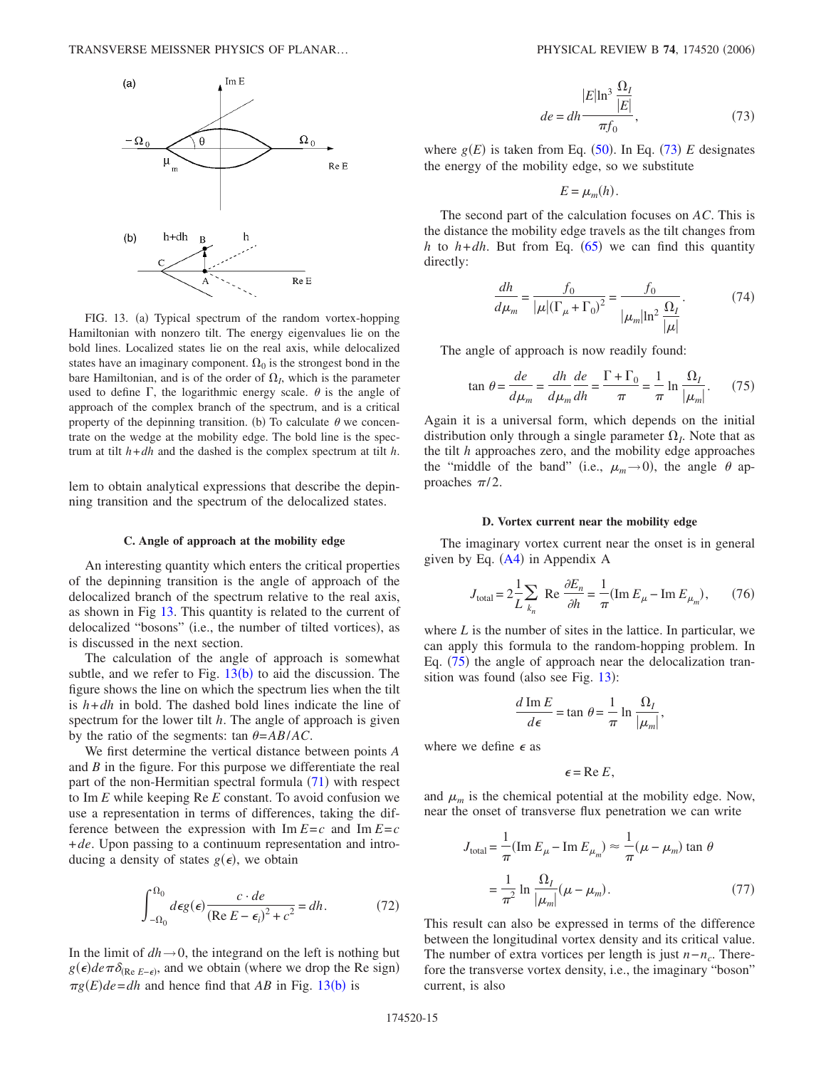<span id="page-14-0"></span>

FIG. 13. (a) Typical spectrum of the random vortex-hopping Hamiltonian with nonzero tilt. The energy eigenvalues lie on the bold lines. Localized states lie on the real axis, while delocalized states have an imaginary component.  $\Omega_0$  is the strongest bond in the bare Hamiltonian, and is of the order of  $\Omega_I$ , which is the parameter used to define  $\Gamma$ , the logarithmic energy scale.  $\theta$  is the angle of approach of the complex branch of the spectrum, and is a critical property of the depinning transition. (b) To calculate  $\theta$  we concentrate on the wedge at the mobility edge. The bold line is the spectrum at tilt *h*+*dh* and the dashed is the complex spectrum at tilt *h*.

lem to obtain analytical expressions that describe the depinning transition and the spectrum of the delocalized states.

### **C. Angle of approach at the mobility edge**

An interesting quantity which enters the critical properties of the depinning transition is the angle of approach of the delocalized branch of the spectrum relative to the real axis, as shown in Fig [13.](#page-14-0) This quantity is related to the current of delocalized "bosons" (i.e., the number of tilted vortices), as is discussed in the next section.

The calculation of the angle of approach is somewhat subtle, and we refer to Fig.  $13(b)$  $13(b)$  to aid the discussion. The figure shows the line on which the spectrum lies when the tilt is *h*+*dh* in bold. The dashed bold lines indicate the line of spectrum for the lower tilt *h*. The angle of approach is given by the ratio of the segments: tan  $\theta = AB/AC$ .

We first determine the vertical distance between points *A* and *B* in the figure. For this purpose we differentiate the real part of the non-Hermitian spectral formula  $(71)$  $(71)$  $(71)$  with respect to Im *E* while keeping Re *E* constant. To avoid confusion we use a representation in terms of differences, taking the difference between the expression with  $\text{Im } E = c$  and  $\text{Im } E = c$ +*de*. Upon passing to a continuum representation and introducing a density of states  $g(\epsilon)$ , we obtain

$$
\int_{-\Omega_0}^{\Omega_0} d\epsilon g(\epsilon) \frac{c \cdot de}{(\text{Re } E - \epsilon_i)^2 + c^2} = dh. \tag{72}
$$

In the limit of  $dh \rightarrow 0$ , the integrand on the left is nothing but  $g(\epsilon)$ *de*  $\pi \delta_{(Re E - \epsilon)}$ , and we obtain (where we drop the Re sign)  $\pi g(E)$  *de* = *dh* and hence find that *AB* in Fig. [13](#page-14-0)(b) is

$$
de = dh \frac{|E| \ln^3 \frac{\Omega_I}{|E|}}{\pi f_0},\tag{73}
$$

<span id="page-14-1"></span>where  $g(E)$  is taken from Eq. ([50](#page-9-4)). In Eq. ([73](#page-14-1)) E designates the energy of the mobility edge, so we substitute

$$
E=\mu_m(h).
$$

The second part of the calculation focuses on *AC*. This is the distance the mobility edge travels as the tilt changes from *h* to  $h$ +*dh*. But from Eq. ([65](#page-12-6)) we can find this quantity directly:

$$
\frac{dh}{d\mu_m} = \frac{f_0}{|\mu|(\Gamma_\mu + \Gamma_0)^2} = \frac{f_0}{|\mu_m|\ln^2 \frac{\Omega_I}{|\mu|}}.\tag{74}
$$

<span id="page-14-2"></span>The angle of approach is now readily found:

$$
\tan \theta = \frac{de}{d\mu_m} = \frac{dh}{d\mu_m} \frac{de}{dh} = \frac{\Gamma + \Gamma_0}{\pi} = \frac{1}{\pi} \ln \frac{\Omega_I}{|\mu_m|}.
$$
 (75)

Again it is a universal form, which depends on the initial distribution only through a single parameter  $\Omega$ . Note that as the tilt *h* approaches zero, and the mobility edge approaches the "middle of the band" (i.e.,  $\mu_m \rightarrow 0$ ), the angle  $\theta$  approaches  $\pi/2$ .

#### **D. Vortex current near the mobility edge**

The imaginary vortex current near the onset is in general given by Eq. ([A4](#page-18-0)) in Appendix A

$$
J_{\text{total}} = 2\frac{1}{L} \sum_{k_n} \text{ Re } \frac{\partial E_n}{\partial h} = \frac{1}{\pi} (\text{Im } E_\mu - \text{Im } E_{\mu_m}), \qquad (76)
$$

where *L* is the number of sites in the lattice. In particular, we can apply this formula to the random-hopping problem. In Eq. ([75](#page-14-2)) the angle of approach near the delocalization tran-sition was found (also see Fig. [13](#page-14-0)):

$$
\frac{d \operatorname{Im} E}{d \epsilon} = \tan \theta = \frac{1}{\pi} \ln \frac{\Omega_I}{|\mu_m|},
$$

where we define  $\epsilon$  as

$$
\epsilon = \text{Re } E,
$$

and  $\mu_m$  is the chemical potential at the mobility edge. Now, near the onset of transverse flux penetration we can write

$$
J_{\text{total}} = \frac{1}{\pi} (\text{Im } E_{\mu} - \text{Im } E_{\mu_m}) \approx \frac{1}{\pi} (\mu - \mu_m) \tan \theta
$$

$$
= \frac{1}{\pi^2} \ln \frac{\Omega_I}{|\mu_m|} (\mu - \mu_m). \tag{77}
$$

This result can also be expressed in terms of the difference between the longitudinal vortex density and its critical value. The number of extra vortices per length is just *n*−*nc*. Therefore the transverse vortex density, i.e., the imaginary "boson" current, is also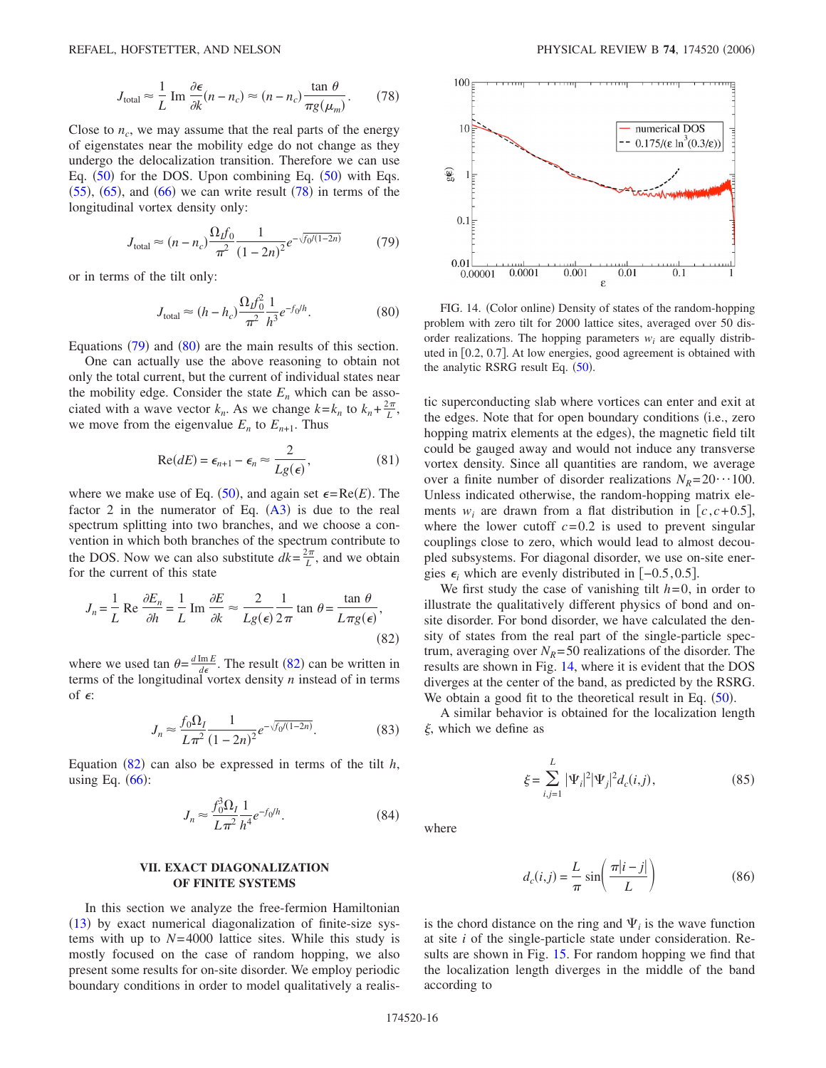$$
J_{\text{total}} \approx \frac{1}{L} \operatorname{Im} \frac{\partial \epsilon}{\partial k} (n - n_c) \approx (n - n_c) \frac{\tan \theta}{\pi g(\mu_m)}.
$$
 (78)

<span id="page-15-0"></span>Close to  $n_c$ , we may assume that the real parts of the energy of eigenstates near the mobility edge do not change as they undergo the delocalization transition. Therefore we can use Eq.  $(50)$  $(50)$  $(50)$  for the DOS. Upon combining Eq.  $(50)$  with Eqs.  $(55)$  $(55)$  $(55)$ ,  $(65)$  $(65)$  $(65)$ , and  $(66)$  $(66)$  $(66)$  we can write result  $(78)$  $(78)$  $(78)$  in terms of the longitudinal vortex density only:

$$
J_{\text{total}} \approx (n - n_c) \frac{\Omega_{\text{L}} f_0}{\pi^2} \frac{1}{(1 - 2n)^2} e^{-\sqrt{f_0/(1 - 2n)}} \tag{79}
$$

<span id="page-15-2"></span><span id="page-15-1"></span>or in terms of the tilt only:

$$
J_{\text{total}} \approx (h - h_c) \frac{\Omega_L f_0^2}{\pi^2} \frac{1}{h^3} e^{-f_0/h}.
$$
 (80)

Equations  $(79)$  $(79)$  $(79)$  and  $(80)$  $(80)$  $(80)$  are the main results of this section.

One can actually use the above reasoning to obtain not only the total current, but the current of individual states near the mobility edge. Consider the state  $E_n$  which can be associated with a wave vector  $k_n$ . As we change  $k = k_n$  to  $k_n + \frac{2\pi}{L}$ , we move from the eigenvalue  $E_n$  to  $E_{n+1}$ . Thus

$$
\operatorname{Re}(dE) = \epsilon_{n+1} - \epsilon_n \approx \frac{2}{Lg(\epsilon)},\tag{81}
$$

where we make use of Eq.  $(50)$  $(50)$  $(50)$ , and again set  $\epsilon = \text{Re}(E)$ . The factor 2 in the numerator of Eq.  $(A3)$  $(A3)$  $(A3)$  is due to the real spectrum splitting into two branches, and we choose a convention in which both branches of the spectrum contribute to the DOS. Now we can also substitute  $dk = \frac{2\pi}{L}$ , and we obtain for the current of this state

<span id="page-15-3"></span>
$$
J_n = \frac{1}{L} \operatorname{Re} \frac{\partial E_n}{\partial h} = \frac{1}{L} \operatorname{Im} \frac{\partial E}{\partial k} \approx \frac{2}{Lg(\epsilon)} \frac{1}{2\pi} \tan \theta = \frac{\tan \theta}{L\pi g(\epsilon)},
$$
\n(82)

where we used tan  $\theta = \frac{d \text{Im} E}{d \epsilon}$ . The result ([82](#page-15-3)) can be written in terms of the longitudinal vortex density *n* instead of in terms of  $\epsilon$ :

$$
J_n \approx \frac{f_0 \Omega_I}{L \pi^2} \frac{1}{(1 - 2n)^2} e^{-\sqrt{f_0/(1 - 2n)}}.
$$
 (83)

Equation  $(82)$  $(82)$  $(82)$  can also be expressed in terms of the tilt  $h$ , using Eq.  $(66)$  $(66)$  $(66)$ :

$$
J_n \approx \frac{f_0^3 \Omega_I}{L \pi^2} \frac{1}{h^4} e^{-f_0/h}.
$$
 (84)

## **VII. EXACT DIAGONALIZATION OF FINITE SYSTEMS**

In this section we analyze the free-fermion Hamiltonian ([13](#page-4-2)) by exact numerical diagonalization of finite-size systems with up to  $N=4000$  lattice sites. While this study is mostly focused on the case of random hopping, we also present some results for on-site disorder. We employ periodic boundary conditions in order to model qualitatively a realis-

<span id="page-15-4"></span>

FIG. 14. (Color online) Density of states of the random-hopping problem with zero tilt for 2000 lattice sites, averaged over 50 disorder realizations. The hopping parameters *wi* are equally distributed in [0.2, 0.7]. At low energies, good agreement is obtained with the analytic RSRG result Eq.  $(50)$  $(50)$  $(50)$ .

tic superconducting slab where vortices can enter and exit at the edges. Note that for open boundary conditions (i.e., zero hopping matrix elements at the edges), the magnetic field tilt could be gauged away and would not induce any transverse vortex density. Since all quantities are random, we average over a finite number of disorder realizations  $N_R = 20 \cdot 100$ . Unless indicated otherwise, the random-hopping matrix elements  $w_i$  are drawn from a flat distribution in  $[c, c+0.5]$ , where the lower cutoff  $c = 0.2$  is used to prevent singular couplings close to zero, which would lead to almost decoupled subsystems. For diagonal disorder, we use on-site energies  $\epsilon_i$  which are evenly distributed in  $[-0.5, 0.5]$ .

We first study the case of vanishing tilt  $h=0$ , in order to illustrate the qualitatively different physics of bond and onsite disorder. For bond disorder, we have calculated the density of states from the real part of the single-particle spectrum, averaging over  $N_R$ = 50 realizations of the disorder. The results are shown in Fig. [14,](#page-15-4) where it is evident that the DOS diverges at the center of the band, as predicted by the RSRG. We obtain a good fit to the theoretical result in Eq.  $(50)$  $(50)$  $(50)$ .

A similar behavior is obtained for the localization length  $\xi$ , which we define as

$$
\xi = \sum_{i,j=1}^{L} |\Psi_i|^2 |\Psi_j|^2 d_c(i,j), \qquad (85)
$$

where

$$
d_c(i,j) = \frac{L}{\pi} \sin\left(\frac{\pi|i-j|}{L}\right) \tag{86}
$$

is the chord distance on the ring and  $\Psi_i$  is the wave function at site *i* of the single-particle state under consideration. Re-sults are shown in Fig. [15.](#page-16-0) For random hopping we find that the localization length diverges in the middle of the band according to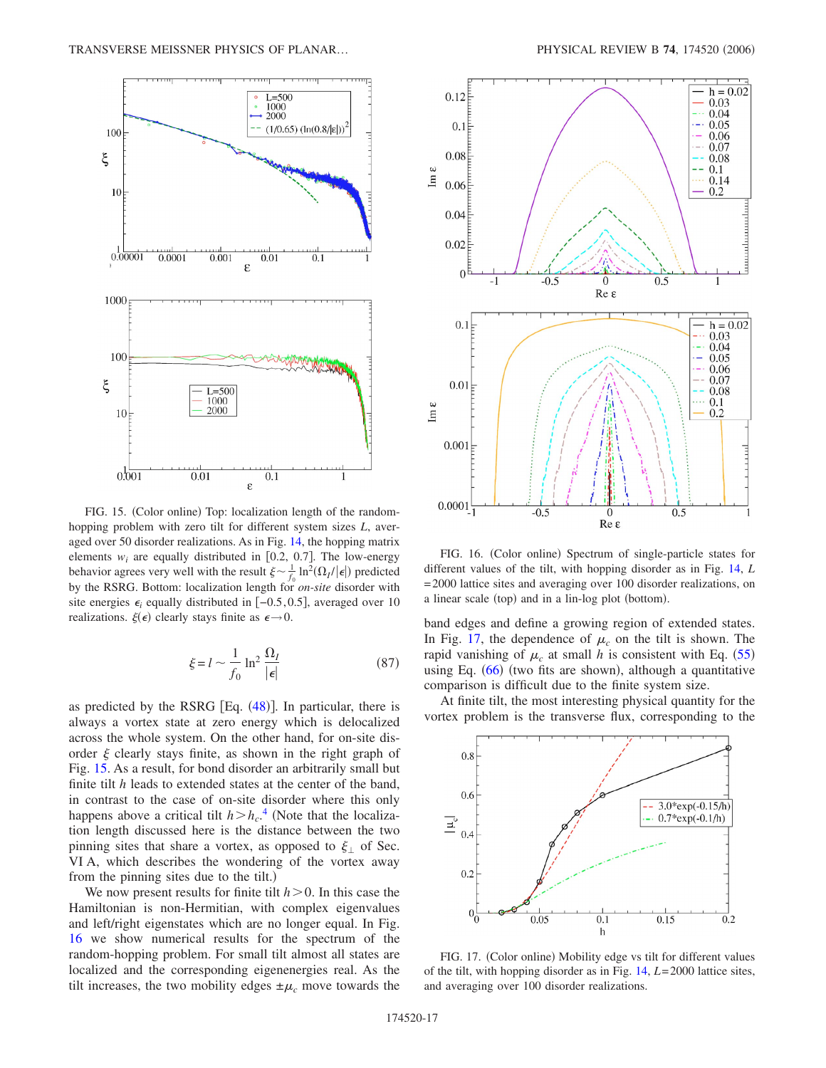<span id="page-16-0"></span>

FIG. 15. (Color online) Top: localization length of the randomhopping problem with zero tilt for different system sizes *L*, averaged over 50 disorder realizations. As in Fig. [14,](#page-15-4) the hopping matrix elements  $w_i$  are equally distributed in [0.2, 0.7]. The low-energy behavior agrees very well with the result  $\xi \sim \frac{1}{f_0} \ln^2(\Omega_I/|\epsilon|)$  predicted by the RSRG. Bottom: localization length for *on-site* disorder with site energies  $\epsilon_i$  equally distributed in  $[-0.5, 0.5]$ , averaged over 10 realizations.  $\xi(\epsilon)$  clearly stays finite as  $\epsilon \rightarrow 0$ .

$$
\xi = l \sim \frac{1}{f_0} \ln^2 \frac{\Omega_I}{|\epsilon|} \tag{87}
$$

as predicted by the RSRG  $[Eq. (48)]$  $[Eq. (48)]$  $[Eq. (48)]$ . In particular, there is always a vortex state at zero energy which is delocalized across the whole system. On the other hand, for on-site disorder  $\xi$  clearly stays finite, as shown in the right graph of Fig. [15.](#page-16-0) As a result, for bond disorder an arbitrarily small but finite tilt *h* leads to extended states at the center of the band, in contrast to the case of on-site disorder where this only happens above a critical tilt  $h > h_c$ .<sup>[4](#page-19-3)</sup> (Note that the localization length discussed here is the distance between the two pinning sites that share a vortex, as opposed to  $\xi_1$  of Sec. VI A, which describes the wondering of the vortex away from the pinning sites due to the tilt.)

We now present results for finite tilt  $h > 0$ . In this case the Hamiltonian is non-Hermitian, with complex eigenvalues and left/right eigenstates which are no longer equal. In Fig. [16](#page-16-1) we show numerical results for the spectrum of the random-hopping problem. For small tilt almost all states are localized and the corresponding eigenenergies real. As the tilt increases, the two mobility edges  $\pm \mu_c$  move towards the

<span id="page-16-1"></span>

FIG. 16. (Color online) Spectrum of single-particle states for different values of the tilt, with hopping disorder as in Fig. [14,](#page-15-4) *L* = 2000 lattice sites and averaging over 100 disorder realizations, on a linear scale (top) and in a lin-log plot (bottom).

band edges and define a growing region of extended states. In Fig. [17,](#page-16-2) the dependence of  $\mu_c$  on the tilt is shown. The rapid vanishing of  $\mu_c$  at small *h* is consistent with Eq. ([55](#page-10-2)) using Eq.  $(66)$  $(66)$  $(66)$  (two fits are shown), although a quantitative comparison is difficult due to the finite system size.

At finite tilt, the most interesting physical quantity for the vortex problem is the transverse flux, corresponding to the

<span id="page-16-2"></span>

FIG. 17. (Color online) Mobility edge vs tilt for different values of the tilt, with hopping disorder as in Fig. [14,](#page-15-4) *L*= 2000 lattice sites, and averaging over 100 disorder realizations.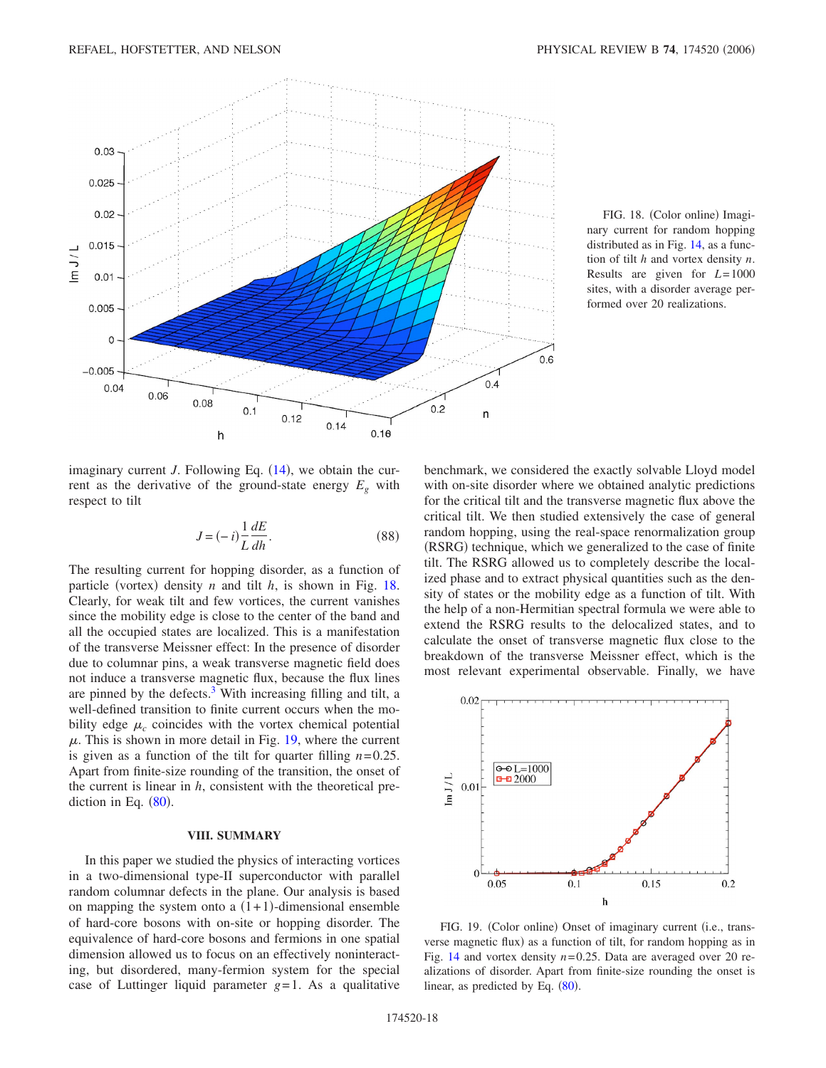<span id="page-17-0"></span>

FIG. 18. (Color online) Imaginary current for random hopping distributed as in Fig. [14,](#page-15-4) as a function of tilt *h* and vortex density *n*. Results are given for *L*= 1000 sites, with a disorder average performed over 20 realizations.

imaginary current  $J$ . Following Eq.  $(14)$  $(14)$  $(14)$ , we obtain the current as the derivative of the ground-state energy  $E<sub>g</sub>$  with respect to tilt

$$
J = (-i)\frac{1}{L}\frac{dE}{dh}.
$$
\n(88)

The resulting current for hopping disorder, as a function of particle (vortex) density  $n$  and tilt  $h$ , is shown in Fig. [18.](#page-17-0) Clearly, for weak tilt and few vortices, the current vanishes since the mobility edge is close to the center of the band and all the occupied states are localized. This is a manifestation of the transverse Meissner effect: In the presence of disorder due to columnar pins, a weak transverse magnetic field does not induce a transverse magnetic flux, because the flux lines are pinned by the defects.<sup>3</sup> With increasing filling and tilt, a well-defined transition to finite current occurs when the mobility edge  $\mu_c$  coincides with the vortex chemical potential  $\mu$ . This is shown in more detail in Fig. [19,](#page-17-1) where the current is given as a function of the tilt for quarter filling  $n=0.25$ . Apart from finite-size rounding of the transition, the onset of the current is linear in *h*, consistent with the theoretical prediction in Eq.  $(80)$  $(80)$  $(80)$ .

### **VIII. SUMMARY**

In this paper we studied the physics of interacting vortices in a two-dimensional type-II superconductor with parallel random columnar defects in the plane. Our analysis is based on mapping the system onto a  $(1+1)$ -dimensional ensemble of hard-core bosons with on-site or hopping disorder. The equivalence of hard-core bosons and fermions in one spatial dimension allowed us to focus on an effectively noninteracting, but disordered, many-fermion system for the special case of Luttinger liquid parameter  $g=1$ . As a qualitative benchmark, we considered the exactly solvable Lloyd model with on-site disorder where we obtained analytic predictions for the critical tilt and the transverse magnetic flux above the critical tilt. We then studied extensively the case of general random hopping, using the real-space renormalization group (RSRG) technique, which we generalized to the case of finite tilt. The RSRG allowed us to completely describe the localized phase and to extract physical quantities such as the density of states or the mobility edge as a function of tilt. With the help of a non-Hermitian spectral formula we were able to extend the RSRG results to the delocalized states, and to calculate the onset of transverse magnetic flux close to the breakdown of the transverse Meissner effect, which is the most relevant experimental observable. Finally, we have

<span id="page-17-1"></span>

FIG. 19. (Color online) Onset of imaginary current (i.e., transverse magnetic flux) as a function of tilt, for random hopping as in Fig. [14](#page-15-4) and vortex density  $n=0.25$ . Data are averaged over 20 realizations of disorder. Apart from finite-size rounding the onset is linear, as predicted by Eq.  $(80)$  $(80)$  $(80)$ .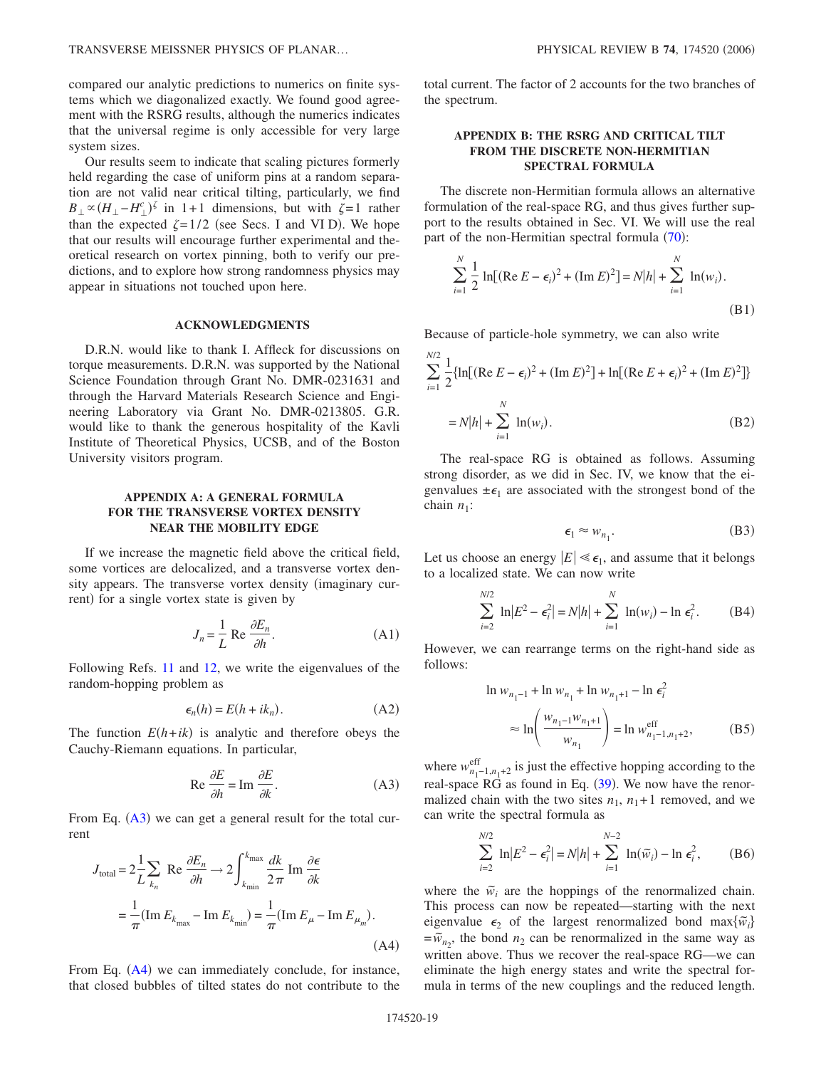compared our analytic predictions to numerics on finite systems which we diagonalized exactly. We found good agreement with the RSRG results, although the numerics indicates that the universal regime is only accessible for very large system sizes.

Our results seem to indicate that scaling pictures formerly held regarding the case of uniform pins at a random separation are not valid near critical tilting, particularly, we find  $B_{\perp} \propto (H_{\perp} - H_{\perp}^c)^{\zeta}$  in 1+1 dimensions, but with  $\zeta = 1$  rather than the expected  $\zeta = 1/2$  (see Secs. I and VI D). We hope that our results will encourage further experimental and theoretical research on vortex pinning, both to verify our predictions, and to explore how strong randomness physics may appear in situations not touched upon here.

# **ACKNOWLEDGMENTS**

D.R.N. would like to thank I. Affleck for discussions on torque measurements. D.R.N. was supported by the National Science Foundation through Grant No. DMR-0231631 and through the Harvard Materials Research Science and Engineering Laboratory via Grant No. DMR-0213805. G.R. would like to thank the generous hospitality of the Kavli Institute of Theoretical Physics, UCSB, and of the Boston University visitors program.

# **APPENDIX A: A GENERAL FORMULA FOR THE TRANSVERSE VORTEX DENSITY NEAR THE MOBILITY EDGE**

If we increase the magnetic field above the critical field, some vortices are delocalized, and a transverse vortex density appears. The transverse vortex density (imaginary current) for a single vortex state is given by

$$
J_n = \frac{1}{L} \operatorname{Re} \frac{\partial E_n}{\partial h}.
$$
 (A1)

Following Refs. [11](#page-19-9) and [12,](#page-19-24) we write the eigenvalues of the random-hopping problem as

$$
\epsilon_n(h) = E(h + ik_n). \tag{A2}
$$

<span id="page-18-1"></span>The function  $E(h+ik)$  is analytic and therefore obeys the Cauchy-Riemann equations. In particular,

$$
\text{Re}\,\frac{\partial E}{\partial h} = \text{Im}\,\frac{\partial E}{\partial k}.\tag{A3}
$$

From Eq. ([A3](#page-18-1)) we can get a general result for the total current

<span id="page-18-0"></span>
$$
J_{\text{total}} = 2 \frac{1}{L} \sum_{k_n} \text{ Re } \frac{\partial E_n}{\partial h} \to 2 \int_{k_{\text{min}}}^{k_{\text{max}}} \frac{dk}{2 \pi} \text{ Im } \frac{\partial \epsilon}{\partial k}
$$

$$
= \frac{1}{\pi} (\text{Im } E_{k_{\text{max}}} - \text{Im } E_{k_{\text{min}}} ) = \frac{1}{\pi} (\text{Im } E_{\mu} - \text{Im } E_{\mu_m}). \tag{A4}
$$

From Eq. ([A4](#page-18-0)) we can immediately conclude, for instance, that closed bubbles of tilted states do not contribute to the total current. The factor of 2 accounts for the two branches of the spectrum.

# **APPENDIX B: THE RSRG AND CRITICAL TILT FROM THE DISCRETE NON-HERMITIAN SPECTRAL FORMULA**

The discrete non-Hermitian formula allows an alternative formulation of the real-space RG, and thus gives further support to the results obtained in Sec. VI. We will use the real part of the non-Hermitian spectral formula ([70](#page-13-3)):

$$
\sum_{i=1}^{N} \frac{1}{2} \ln[(\text{Re } E - \epsilon_i)^2 + (\text{Im } E)^2] = N|h| + \sum_{i=1}^{N} \ln(w_i).
$$
\n(B1)

Because of particle-hole symmetry, we can also write

$$
\sum_{i=1}^{N/2} \frac{1}{2} \{ \ln[ (\text{Re } E - \epsilon_i)^2 + (\text{Im } E)^2 ] + \ln[ (\text{Re } E + \epsilon_i)^2 + (\text{Im } E)^2 ] \}
$$
  
=  $N|h| + \sum_{i=1}^{N} \ln(w_i).$  (B2)

The real-space RG is obtained as follows. Assuming strong disorder, as we did in Sec. IV, we know that the eigenvalues  $\pm \epsilon_1$  are associated with the strongest bond of the chain  $n_1$ :

$$
\epsilon_1 \approx w_{n_1}.\tag{B3}
$$

Let us choose an energy  $|E| \ll \epsilon_1$ , and assume that it belongs to a localized state. We can now write

$$
\sum_{i=2}^{N/2} \ln |E^2 - \epsilon_i^2| = N|h| + \sum_{i=1}^{N} \ln(w_i) - \ln \epsilon_i^2.
$$
 (B4)

However, we can rearrange terms on the right-hand side as follows:

$$
\ln w_{n_1-1} + \ln w_{n_1} + \ln w_{n_1+1} - \ln \epsilon_i^2
$$
  
\n
$$
\approx \ln \left( \frac{w_{n_1-1} w_{n_1+1}}{w_{n_1}} \right) = \ln w_{n_1-1, n_1+2}^{\text{eff}}, \tag{B5}
$$

where  $w_{n_1-1,n_1+2}^{\text{eff}}$  is just the effective hopping according to the real-space  $\overrightarrow{RG}$  as found in Eq. ([39](#page-8-1)). We now have the renormalized chain with the two sites  $n_1$ ,  $n_1+1$  removed, and we can write the spectral formula as

$$
\sum_{i=2}^{N/2} \ln |E^2 - \epsilon_i^2| = N|h| + \sum_{i=1}^{N-2} \ln(\tilde{w}_i) - \ln \epsilon_i^2,
$$
 (B6)

<span id="page-18-2"></span>where the  $\tilde{w}_i$  are the hoppings of the renormalized chain. This process can now be repeated—starting with the next eigenvalue  $\epsilon_2$  of the largest renormalized bond max $\{\tilde{w}_i\}$  $=\tilde{w}_{n_2}$ , the bond  $n_2$  can be renormalized in the same way as written above. Thus we recover the real-space RG—we can eliminate the high energy states and write the spectral formula in terms of the new couplings and the reduced length.